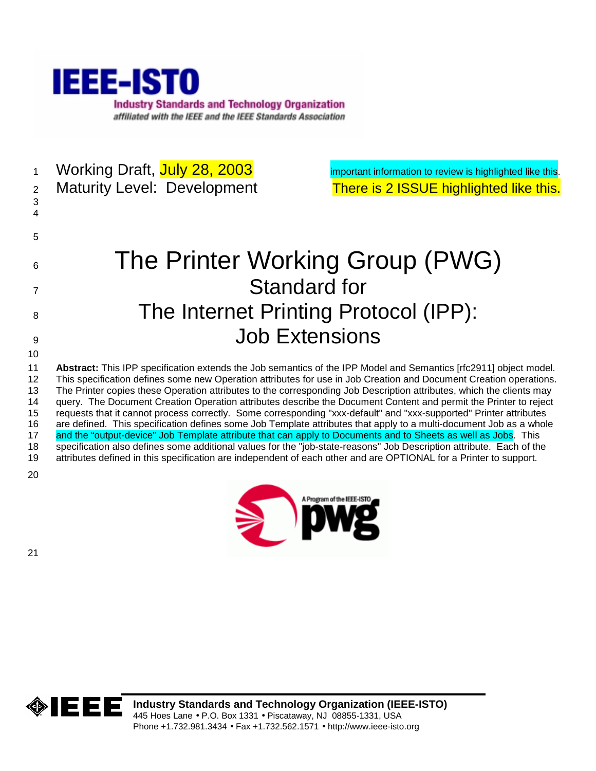

1 Working Draft, July 28, 2003 **important information to review is highlighted like this.** 

3

2 Maturity Level: Development There is 2 ISSUE highlighted like this.

# 6 The Printer Working Group (PWG) 7 Standard for 8 The Internet Printing Protocol (IPP): **9** Job Extensions

11 **Abstract:** This IPP specification extends the Job semantics of the IPP Model and Semantics [rfc2911] object model. 12 This specification defines some new Operation attributes for use in Job Creation and Document Creation operations. 13 The Printer copies these Operation attributes to the corresponding Job Description attributes, which the clients may 14 query. The Document Creation Operation attributes describe the Document Content and permit the Printer to reject 15 requests that it cannot process correctly. Some corresponding "xxx-default" and "xxx-supported" Printer attributes 16 are defined. This specification defines some Job Template attributes that apply to a multi-document Job as a whole 17 and the "output-device" Job Template attribute that can apply to Documents and to Sheets as well as Jobs. This 18 specification also defines some additional values for the "job-state-reasons" Job Description attribute. Each of the 19 attributes defined in this specification are independent of each other and are OPTIONAL for a Printer to support.

20

10

4

5



21

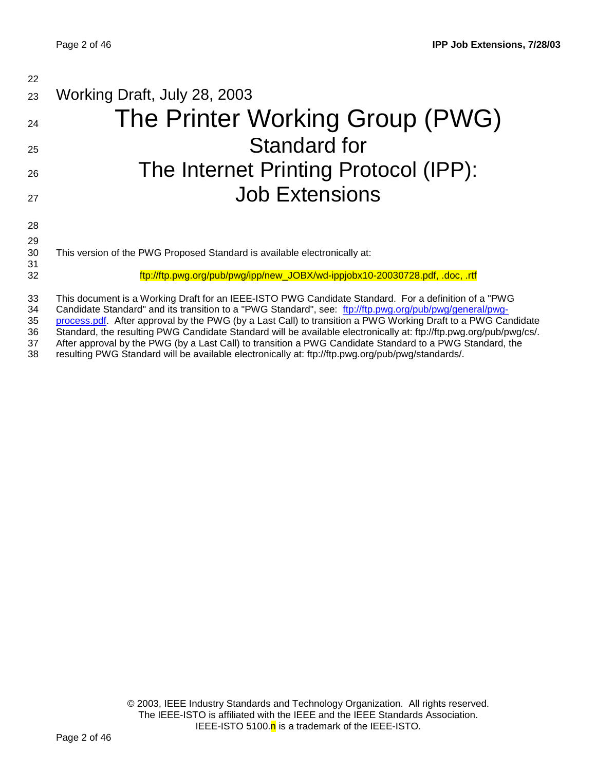| 22             |                                                                                                                                                                                                                                                                                                                                 |
|----------------|---------------------------------------------------------------------------------------------------------------------------------------------------------------------------------------------------------------------------------------------------------------------------------------------------------------------------------|
| 23             | Working Draft, July 28, 2003                                                                                                                                                                                                                                                                                                    |
| 24             | The Printer Working Group (PWG)                                                                                                                                                                                                                                                                                                 |
| 25             | Standard for                                                                                                                                                                                                                                                                                                                    |
| 26             | The Internet Printing Protocol (IPP):                                                                                                                                                                                                                                                                                           |
| 27             | <b>Job Extensions</b>                                                                                                                                                                                                                                                                                                           |
| 28             |                                                                                                                                                                                                                                                                                                                                 |
| 29             |                                                                                                                                                                                                                                                                                                                                 |
| 30             | This version of the PWG Proposed Standard is available electronically at:                                                                                                                                                                                                                                                       |
| 31             |                                                                                                                                                                                                                                                                                                                                 |
| 32             | ftp://ftp.pwg.org/pub/pwg/ipp/new_JOBX/wd-ippjobx10-20030728.pdf, .doc, .rtf                                                                                                                                                                                                                                                    |
| 33<br>34<br>35 | This document is a Working Draft for an IEEE-ISTO PWG Candidate Standard. For a definition of a "PWG<br>Candidate Standard" and its transition to a "PWG Standard", see: ftp://ftp.pwg.org/pub/pwg/general/pwg-<br>process.pdf. After approval by the PWG (by a Last Call) to transition a PWG Working Draft to a PWG Candidate |
| 26             | Standard, the resulting PWC Candidate Standard will be available electronically at: ftp://ftp.pwg.org/pub/pwg/cs/                                                                                                                                                                                                               |

36 Standard, the resulting PWG Candidate Standard will be available electronically at: ftp://ftp.pwg.org/pub/pwg/cs/.

37 After approval by the PWG (by a Last Call) to transition a PWG Candidate Standard to a PWG Standard, the 138 resulting PWG Standard, the 138

38 resulting PWG Standard will be available electronically at: ftp://ftp.pwg.org/pub/pwg/standards/.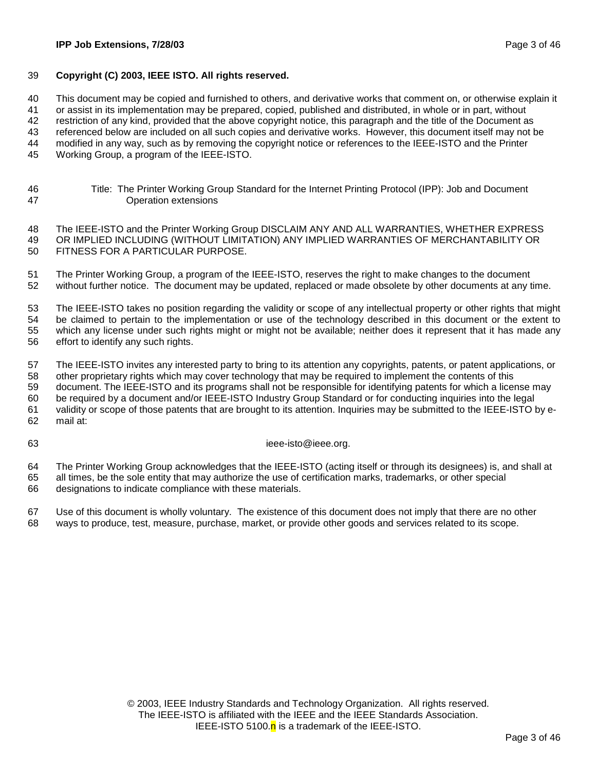#### 39 **Copyright (C) 2003, IEEE ISTO. All rights reserved.**

40 This document may be copied and furnished to others, and derivative works that comment on, or otherwise explain it

41 or assist in its implementation may be prepared, copied, published and distributed, in whole or in part, without

42 restriction of any kind, provided that the above copyright notice, this paragraph and the title of the Document as

43 referenced below are included on all such copies and derivative works. However, this document itself may not be

44 modified in any way, such as by removing the copyright notice or references to the IEEE-ISTO and the Printer

45 Working Group, a program of the IEEE-ISTO.

46 Title: The Printer Working Group Standard for the Internet Printing Protocol (IPP): Job and Document 47 Operation extensions

48 The IEEE-ISTO and the Printer Working Group DISCLAIM ANY AND ALL WARRANTIES, WHETHER EXPRESS 49 OR IMPLIED INCLUDING (WITHOUT LIMITATION) ANY IMPLIED WARRANTIES OF MERCHANTABILITY OR 50 FITNESS FOR A PARTICULAR PURPOSE.

51 The Printer Working Group, a program of the IEEE-ISTO, reserves the right to make changes to the document 52 without further notice. The document may be updated, replaced or made obsolete by other documents at any time.

53 The IEEE-ISTO takes no position regarding the validity or scope of any intellectual property or other rights that might 54 be claimed to pertain to the implementation or use of the technology described in this document or the extent to 55 which any license under such rights might or might not be available; neither does it represent that it has made any 56 effort to identify any such rights.

57 The IEEE-ISTO invites any interested party to bring to its attention any copyrights, patents, or patent applications, or 58 other proprietary rights which may cover technology that may be required to implement the contents of this 59 document. The IEEE-ISTO and its programs shall not be responsible for identifying patents for which a license may 60 be required by a document and/or IEEE-ISTO Industry Group Standard or for conducting inquiries into the legal 61 validity or scope of those patents that are brought to its attention. Inquiries may be submitted to the IEEE-ISTO by e-62 mail at:

63 ieee-isto@ieee.org.

64 The Printer Working Group acknowledges that the IEEE-ISTO (acting itself or through its designees) is, and shall at 65 all times, be the sole entity that may authorize the use of certification marks, trademarks, or other special 66 designations to indicate compliance with these materials.

67 Use of this document is wholly voluntary. The existence of this document does not imply that there are no other 68 ways to produce, test, measure, purchase, market, or provide other goods and services related to its scope.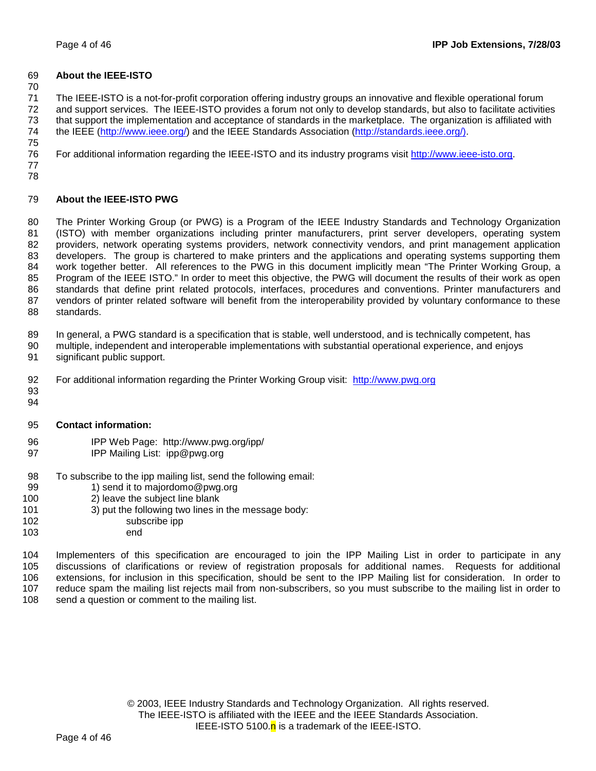#### 69 **About the IEEE-ISTO**

70

71 The IEEE-ISTO is a not-for-profit corporation offering industry groups an innovative and flexible operational forum 72 and support services. The IEEE-ISTO provides a forum not only to develop standards, but also to facilitate activities 73 that support the implementation and acceptance of standards in the marketplace. The organization is affiliated with 74 the IEEE (http://www.ieee.org/) and the IEEE Standards Association (http://standards.ieee.org/). 75

76 For additional information regarding the IEEE-ISTO and its industry programs visit http://www.ieee-isto.org.

77 78

#### 79 **About the IEEE-ISTO PWG**

80 The Printer Working Group (or PWG) is a Program of the IEEE Industry Standards and Technology Organization 81 (ISTO) with member organizations including printer manufacturers, print server developers, operating system 82 providers, network operating systems providers, network connectivity vendors, and print management application 83 developers. The group is chartered to make printers and the applications and operating systems supporting them 84 work together better. All references to the PWG in this document implicitly mean "The Printer Working Group, a 85 Program of the IEEE ISTO." In order to meet this objective, the PWG will document the results of their work as open 86 standards that define print related protocols, interfaces, procedures and conventions. Printer manufacturers and 87 vendors of printer related software will benefit from the interoperability provided by voluntary conformance to these 88 standards.

89 In general, a PWG standard is a specification that is stable, well understood, and is technically competent, has

- 90 multiple, independent and interoperable implementations with substantial operational experience, and enjoys 91 significant public support.
- 92 For additional information regarding the Printer Working Group visit: http://www.pwg.org
- 93 94
- 95 **Contact information:**
- 96 IPP Web Page: http://www.pwg.org/ipp/
- 97 IPP Mailing List: ipp@pwg.org
- 98 To subscribe to the ipp mailing list, send the following email:
- 99 1) send it to majordomo@pwg.org
- 100 2) leave the subject line blank
- 101 3) put the following two lines in the message body:
- 102 subscribe ipp
- 103 end

104 Implementers of this specification are encouraged to join the IPP Mailing List in order to participate in any 105 discussions of clarifications or review of registration proposals for additional names. Requests for additional 106 extensions, for inclusion in this specification, should be sent to the IPP Mailing list for consideration. In order to 107 reduce spam the mailing list rejects mail from non-subscribers, so you must subscribe to the mailing list in order to 108 send a question or comment to the mailing list.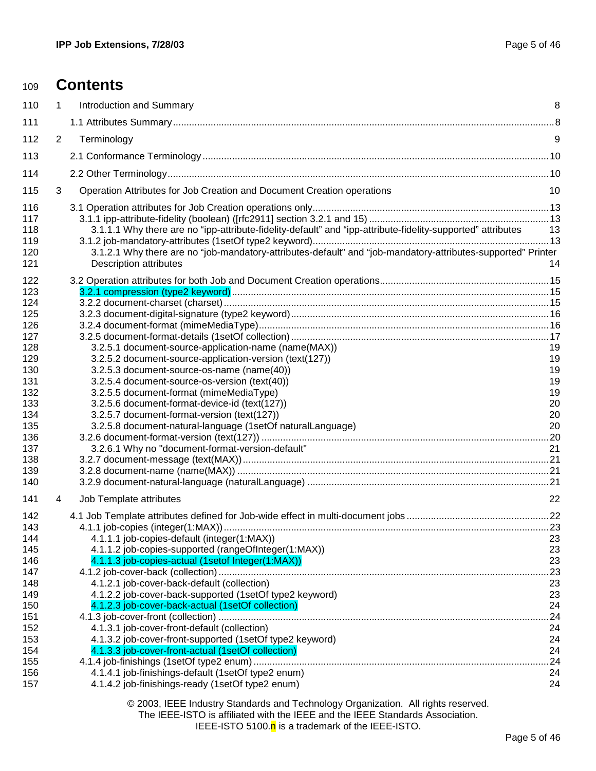| 109        |                       | <b>Contents</b>                                                                                              |           |
|------------|-----------------------|--------------------------------------------------------------------------------------------------------------|-----------|
| 110        | $\mathbf 1$           | Introduction and Summary                                                                                     | 8         |
| 111        |                       |                                                                                                              |           |
| 112        | $\mathbf{2}^{\prime}$ | Terminology                                                                                                  | 9         |
| 113        |                       |                                                                                                              |           |
| 114        |                       |                                                                                                              |           |
| 115        | 3                     | Operation Attributes for Job Creation and Document Creation operations                                       | 10        |
| 116        |                       |                                                                                                              |           |
| 117        |                       |                                                                                                              |           |
| 118        |                       | 3.1.1.1 Why there are no "ipp-attribute-fidelity-default" and "ipp-attribute-fidelity-supported" attributes  | 13        |
| 119<br>120 |                       | 3.1.2.1 Why there are no "job-mandatory-attributes-default" and "job-mandatory-attributes-supported" Printer |           |
| 121        |                       | <b>Description attributes</b>                                                                                | 14        |
| 122        |                       |                                                                                                              |           |
| 123        |                       |                                                                                                              |           |
| 124        |                       |                                                                                                              |           |
| 125<br>126 |                       |                                                                                                              |           |
| 127        |                       |                                                                                                              |           |
| 128        |                       | 3.2.5.1 document-source-application-name (name(MAX))                                                         | 19        |
| 129        |                       | 3.2.5.2 document-source-application-version (text(127))                                                      | 19        |
| 130        |                       | 3.2.5.3 document-source-os-name (name(40))                                                                   | 19<br>19  |
| 131<br>132 |                       | 3.2.5.4 document-source-os-version (text(40))<br>3.2.5.5 document-format (mimeMediaType)                     | 19        |
| 133        |                       | 3.2.5.6 document-format-device-id (text(127))                                                                | 20        |
| 134        |                       | 3.2.5.7 document-format-version (text(127))                                                                  | 20        |
| 135        |                       | 3.2.5.8 document-natural-language (1setOf naturalLanguage)                                                   | 20        |
| 136<br>137 |                       | 3.2.6.1 Why no "document-format-version-default"                                                             | 21        |
| 138        |                       |                                                                                                              |           |
| 139        |                       |                                                                                                              |           |
| 140        |                       |                                                                                                              |           |
| 141        | 4                     | Job Template attributes                                                                                      | 22        |
| 142        |                       |                                                                                                              |           |
| 143<br>144 |                       | 4.1.1.1 job-copies-default (integer(1:MAX))                                                                  | 23        |
| 145        |                       | 4.1.1.2 job-copies-supported (rangeOfInteger(1:MAX))                                                         | 23        |
| 146        |                       | 4.1.1.3 job-copies-actual (1setof Integer(1:MAX))                                                            | 23        |
| 147        |                       |                                                                                                              | .23       |
| 148        |                       | 4.1.2.1 job-cover-back-default (collection)                                                                  | 23        |
| 149<br>150 |                       | 4.1.2.2 job-cover-back-supported (1setOf type2 keyword)<br>4.1.2.3 job-cover-back-actual (1setOf collection) | 23<br>24  |
| 151        |                       |                                                                                                              | .24       |
| 152        |                       | 4.1.3.1 job-cover-front-default (collection)                                                                 | 24        |
| 153        |                       | 4.1.3.2 job-cover-front-supported (1setOf type2 keyword)                                                     | 24        |
| 154<br>155 |                       | 4.1.3.3 job-cover-front-actual (1setOf collection)                                                           | 24<br>.24 |
| 156        |                       | 4.1.4.1 job-finishings-default (1setOf type2 enum)                                                           | 24        |
| 157        |                       | 4.1.4.2 job-finishings-ready (1setOf type2 enum)                                                             | 24        |
|            |                       | $0.000$ , IEEE Industry Oten deals and Technology Questionian                                                |           |

© 2003, IEEE Industry Standards and Technology Organization. All rights reserved. The IEEE-ISTO is affiliated with the IEEE and the IEEE Standards Association. IEEE-ISTO 5100. $n$  is a trademark of the IEEE-ISTO.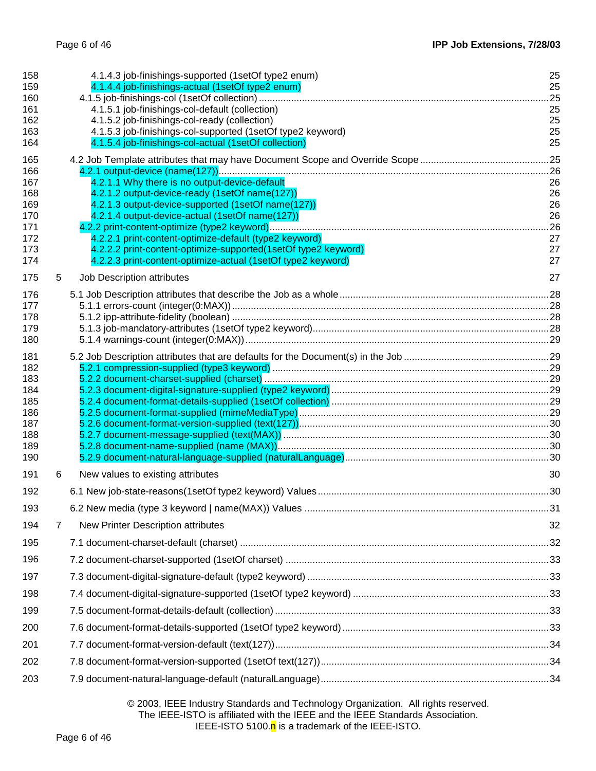| 158<br>159<br>160<br>161<br>162<br>163<br>164                      |   | 4.1.4.3 job-finishings-supported (1setOf type2 enum)<br>4.1.4.4 job-finishings-actual (1setOf type2 enum)<br>4.1.5.1 job-finishings-col-default (collection)<br>4.1.5.2 job-finishings-col-ready (collection)<br>4.1.5.3 job-finishings-col-supported (1setOf type2 keyword)<br>4.1.5.4 job-finishings-col-actual (1setOf collection)                                                                | 25<br>25<br>.25<br>25<br>25<br>25<br>25              |
|--------------------------------------------------------------------|---|------------------------------------------------------------------------------------------------------------------------------------------------------------------------------------------------------------------------------------------------------------------------------------------------------------------------------------------------------------------------------------------------------|------------------------------------------------------|
| 165<br>166<br>167<br>168<br>169<br>170<br>171<br>172<br>173<br>174 |   | 4.2.1.1 Why there is no output-device-default<br>4.2.1.2 output-device-ready (1setOf name(127))<br>4.2.1.3 output-device-supported (1setOf name(127))<br>4.2.1.4 output-device-actual (1setOf name(127))<br>4.2.2.1 print-content-optimize-default (type2 keyword)<br>4.2.2.2 print-content-optimize-supported(1setOf type2 keyword)<br>4.2.2.3 print-content-optimize-actual (1setOf type2 keyword) | .25<br>26<br>26<br>26<br>26<br>.26<br>27<br>27<br>27 |
| 175<br>176<br>177<br>178<br>179<br>180                             | 5 | Job Description attributes                                                                                                                                                                                                                                                                                                                                                                           | 27                                                   |
| 181<br>182<br>183<br>184<br>185<br>186<br>187<br>188<br>189<br>190 |   |                                                                                                                                                                                                                                                                                                                                                                                                      |                                                      |
| 191                                                                | 6 | New values to existing attributes                                                                                                                                                                                                                                                                                                                                                                    | 30                                                   |
| 192                                                                |   |                                                                                                                                                                                                                                                                                                                                                                                                      |                                                      |
| 193                                                                |   |                                                                                                                                                                                                                                                                                                                                                                                                      |                                                      |
| 194                                                                | 7 | New Printer Description attributes                                                                                                                                                                                                                                                                                                                                                                   | 32                                                   |
| 195                                                                |   |                                                                                                                                                                                                                                                                                                                                                                                                      |                                                      |
| 196<br>197                                                         |   |                                                                                                                                                                                                                                                                                                                                                                                                      |                                                      |
| 198                                                                |   |                                                                                                                                                                                                                                                                                                                                                                                                      |                                                      |
| 199                                                                |   |                                                                                                                                                                                                                                                                                                                                                                                                      |                                                      |
| 200                                                                |   |                                                                                                                                                                                                                                                                                                                                                                                                      |                                                      |
| 201                                                                |   |                                                                                                                                                                                                                                                                                                                                                                                                      |                                                      |
| 202                                                                |   |                                                                                                                                                                                                                                                                                                                                                                                                      |                                                      |
| 203                                                                |   |                                                                                                                                                                                                                                                                                                                                                                                                      |                                                      |
|                                                                    |   |                                                                                                                                                                                                                                                                                                                                                                                                      |                                                      |

© 2003, IEEE Industry Standards and Technology Organization. All rights reserved. The IEEE-ISTO is affiliated with the IEEE and the IEEE Standards Association. IEEE-ISTO 5100.<sup>n</sup> is a trademark of the IEEE-ISTO.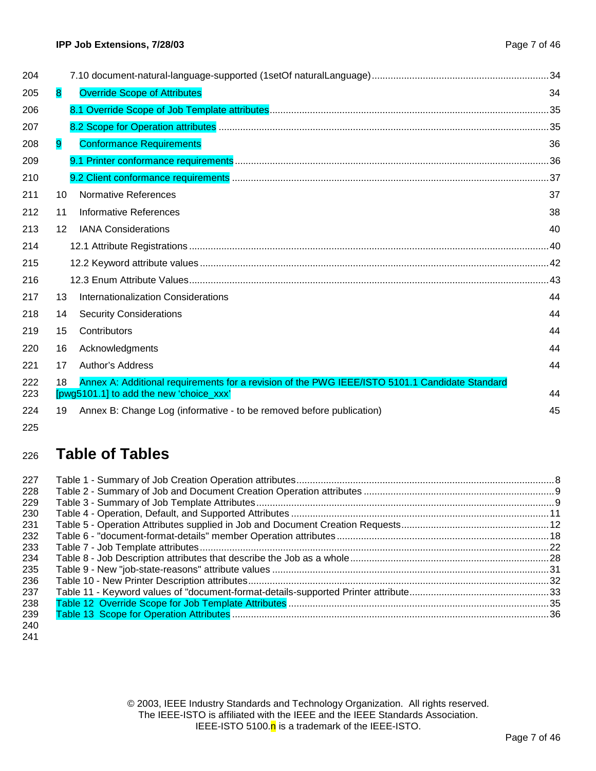| 204        |                                               |                                                                                                |    |
|------------|-----------------------------------------------|------------------------------------------------------------------------------------------------|----|
| 205        | <b>Override Scope of Attributes</b><br>8      |                                                                                                | 34 |
| 206        |                                               |                                                                                                |    |
| 207        |                                               |                                                                                                |    |
| 208        | <b>Conformance Requirements</b><br>9          |                                                                                                | 36 |
| 209        |                                               |                                                                                                |    |
| 210        |                                               |                                                                                                |    |
| 211        | <b>Normative References</b><br>10             |                                                                                                | 37 |
| 212        | 11<br>Informative References                  |                                                                                                | 38 |
| 213        | 12<br><b>IANA Considerations</b>              |                                                                                                | 40 |
| 214        |                                               |                                                                                                |    |
| 215        |                                               |                                                                                                |    |
| 216        |                                               |                                                                                                |    |
| 217        | 13<br>Internationalization Considerations     |                                                                                                | 44 |
| 218        | <b>Security Considerations</b><br>14          |                                                                                                | 44 |
| 219        | 15<br>Contributors                            |                                                                                                | 44 |
| 220        | Acknowledgments<br>16                         |                                                                                                | 44 |
| 221        | <b>Author's Address</b><br>17                 |                                                                                                | 44 |
| 222<br>223 | 18<br>[pwg5101.1] to add the new 'choice_xxx' | Annex A: Additional requirements for a revision of the PWG IEEE/ISTO 5101.1 Candidate Standard | 44 |
| 224        | 19                                            | Annex B: Change Log (informative - to be removed before publication)                           | 45 |
| 225        |                                               |                                                                                                |    |

# <sup>226</sup>**Table of Tables**

| 227 |  |
|-----|--|
| 228 |  |
| 229 |  |
| 230 |  |
| 231 |  |
| 232 |  |
| 233 |  |
| 234 |  |
| 235 |  |
| 236 |  |
| 237 |  |
| 238 |  |
| 239 |  |
| 240 |  |

241

© 2003, IEEE Industry Standards and Technology Organization. All rights reserved. The IEEE-ISTO is affiliated with the IEEE and the IEEE Standards Association. IEEE-ISTO 5100. $n$  is a trademark of the IEEE-ISTO.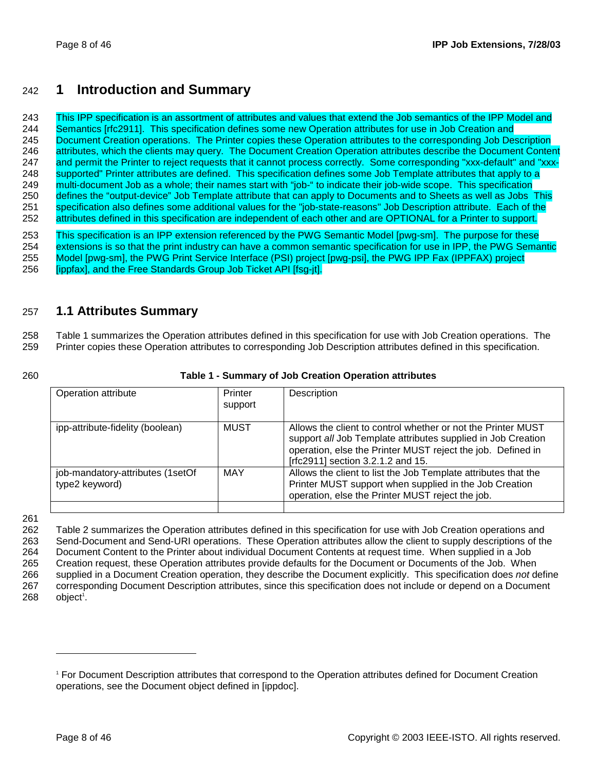### 242 **1 Introduction and Summary**

243 This IPP specification is an assortment of attributes and values that extend the Job semantics of the IPP Model and 244 Semantics [rfc2911]. This specification defines some new Operation attributes for use in Job Creation and 245 Document Creation operations. The Printer copies these Operation attributes to the corresponding Job Description 246 attributes, which the clients may query. The Document Creation Operation attributes describe the Document Content 247 and permit the Printer to reject requests that it cannot process correctly. Some corresponding "xxx-default" and "xxx-248 supported" Printer attributes are defined. This specification defines some Job Template attributes that apply to a 249 multi-document Job as a whole; their names start with "job-" to indicate their job-wide scope. This specification 250 defines the "output-device" Job Template attribute that can apply to Documents and to Sheets as well as Jobs This 251 specification also defines some additional values for the "job-state-reasons" Job Description attribute. Each of the 252 attributes defined in this specification are independent of each other and are OPTIONAL for a Printer to support.

253 This specification is an IPP extension referenced by the PWG Semantic Model [pwg-sm]. The purpose for these 254 extensions is so that the print industry can have a common semantic specification for use in IPP, the PWG Semantic 255 Model [pwg-sm], the PWG Print Service Interface (PSI) project [pwg-psi], the PWG IPP Fax (IPPFAX) project 256 [ippfax], and the Free Standards Group Job Ticket API [fsg-jt].

### 257 **1.1 Attributes Summary**

258 Table 1 summarizes the Operation attributes defined in this specification for use with Job Creation operations. The 259 Printer copies these Operation attributes to corresponding Job Description attributes defined in this specification.

#### 260 **Table 1 - Summary of Job Creation Operation attributes**

| Operation attribute                                | Printer<br>support | Description                                                                                                                                                                                                                      |
|----------------------------------------------------|--------------------|----------------------------------------------------------------------------------------------------------------------------------------------------------------------------------------------------------------------------------|
| ipp-attribute-fidelity (boolean)                   | <b>MUST</b>        | Allows the client to control whether or not the Printer MUST<br>support all Job Template attributes supplied in Job Creation<br>operation, else the Printer MUST reject the job. Defined in<br>[rfc2911] section 3.2.1.2 and 15. |
| job-mandatory-attributes (1setOf<br>type2 keyword) | MAY                | Allows the client to list the Job Template attributes that the<br>Printer MUST support when supplied in the Job Creation<br>operation, else the Printer MUST reject the job.                                                     |

261

262 Table 2 summarizes the Operation attributes defined in this specification for use with Job Creation operations and 263 Send-Document and Send-URI operations. These Operation attributes allow the client to supply descriptions of the 264 Document Content to the Printer about individual Document Contents at request time. When supplied in a Job 265 Creation request, these Operation attributes provide defaults for the Document or Documents of the Job. When 266 supplied in a Document Creation operation, they describe the Document explicitly. This specification does *not* define 267 corresponding Document Description attributes, since this specification does not include or depend on a Document  $268$  object<sup>1</sup>.

<sup>1</sup> For Document Description attributes that correspond to the Operation attributes defined for Document Creation operations, see the Document object defined in [ippdoc].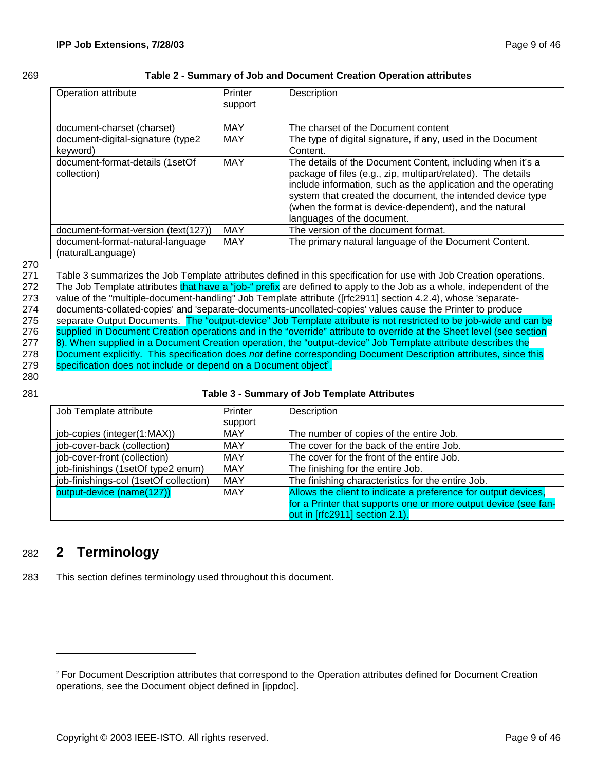#### 269 **Table 2 - Summary of Job and Document Creation Operation attributes**

| Operation attribute                                   | Printer<br>support | Description                                                                                                                                                                                                                                                                                                                                        |
|-------------------------------------------------------|--------------------|----------------------------------------------------------------------------------------------------------------------------------------------------------------------------------------------------------------------------------------------------------------------------------------------------------------------------------------------------|
| document-charset (charset)                            | MAY                | The charset of the Document content                                                                                                                                                                                                                                                                                                                |
| document-digital-signature (type2<br>keyword)         | MAY                | The type of digital signature, if any, used in the Document<br>Content.                                                                                                                                                                                                                                                                            |
| document-format-details (1setOf<br>collection)        | MAY                | The details of the Document Content, including when it's a<br>package of files (e.g., zip, multipart/related). The details<br>include information, such as the application and the operating<br>system that created the document, the intended device type<br>(when the format is device-dependent), and the natural<br>languages of the document. |
| document-format-version (text(127))                   | <b>MAY</b>         | The version of the document format.                                                                                                                                                                                                                                                                                                                |
| document-format-natural-language<br>(naturalLanguage) | <b>MAY</b>         | The primary natural language of the Document Content.                                                                                                                                                                                                                                                                                              |

#### 270

271 Table 3 summarizes the Job Template attributes defined in this specification for use with Job Creation operations. 272 The Job Template attributes that have a "job-" prefix are defined to apply to the Job as a whole, independent of the 273 value of the "multiple-document-handling" Job Template attribute ([rfc2911] section 4.2.4), whose 'separate-274 documents-collated-copies' and 'separate-documents-uncollated-copies' values cause the Printer to produce 275 separate Output Documents. The "output-device" Job Template attribute is not restricted to be job-wide and can be 276 supplied in Document Creation operations and in the "override" attribute to override at the Sheet level (see section 277 8). When supplied in a Document Creation operation, the "output-device" Job Template attribute describes the 278 Document explicitly. This specification does *not* define corresponding Document Description attributes, since this 279 specification does not include or depend on a Document object<sup>2</sup>.

280

#### 281 **Table 3 - Summary of Job Template Attributes**

| Job Template attribute                 | Printer    | Description                                                     |
|----------------------------------------|------------|-----------------------------------------------------------------|
|                                        | support    |                                                                 |
| job-copies (integer(1:MAX))            | <b>MAY</b> | The number of copies of the entire Job.                         |
| job-cover-back (collection)            | <b>MAY</b> | The cover for the back of the entire Job.                       |
| job-cover-front (collection)           | <b>MAY</b> | The cover for the front of the entire Job.                      |
| job-finishings (1setOf type2 enum)     | <b>MAY</b> | The finishing for the entire Job.                               |
| job-finishings-col (1setOf collection) | <b>MAY</b> | The finishing characteristics for the entire Job.               |
| output-device (name(127))              | <b>MAY</b> | Allows the client to indicate a preference for output devices,  |
|                                        |            | for a Printer that supports one or more output device (see fan- |
|                                        |            | out in [rfc2911] section 2.1).                                  |

### 282 **2 Terminology**

-

283 This section defines terminology used throughout this document.

<sup>2</sup> For Document Description attributes that correspond to the Operation attributes defined for Document Creation operations, see the Document object defined in [ippdoc].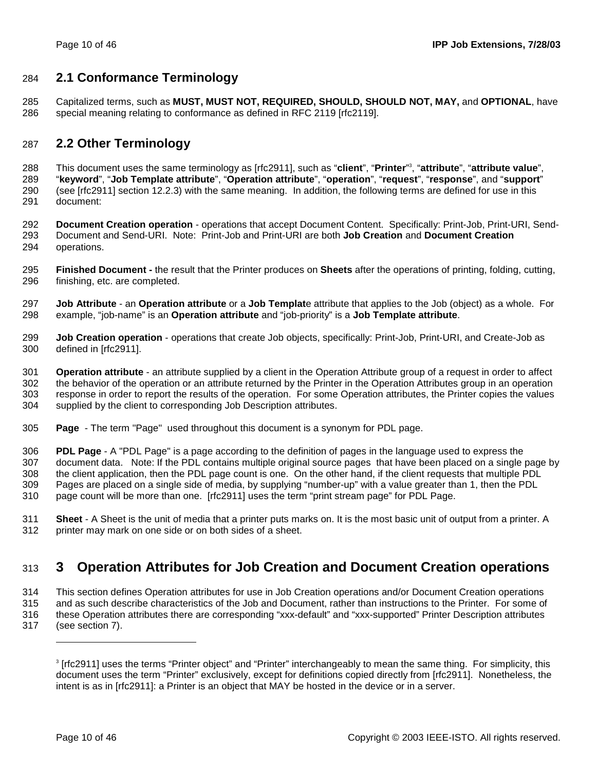### 284 **2.1 Conformance Terminology**

285 Capitalized terms, such as **MUST, MUST NOT, REQUIRED, SHOULD, SHOULD NOT, MAY,** and **OPTIONAL**, have 286 special meaning relating to conformance as defined in RFC 2119 [rfc2119].

### 287 **2.2 Other Terminology**

This document uses the same terminology as [rfc2911], such as "**client**", "**Printer**" <sup>3</sup> 288 , "**attribute**", "**attribute value**", 289 "**keyword**", "**Job Template attribute**", "**Operation attribute**", "**operation**", "**request**", "**response**", and "**support**" 290 (see [rfc2911] section 12.2.3) with the same meaning. In addition, the following terms are defined for use in this 291 document:

292 **Document Creation operation** - operations that accept Document Content. Specifically: Print-Job, Print-URI, Send-293 Document and Send-URI. Note: Print-Job and Print-URI are both **Job Creation** and **Document Creation** 294 operations.

- 295 **Finished Document** the result that the Printer produces on **Sheets** after the operations of printing, folding, cutting, 296 finishing, etc. are completed.
- 297 **Job Attribute** an **Operation attribute** or a **Job Templat**e attribute that applies to the Job (object) as a whole. For 298 example, "job-name" is an **Operation attribute** and "job-priority" is a **Job Template attribute**.
- 299 **Job Creation operation** operations that create Job objects, specifically: Print-Job, Print-URI, and Create-Job as 300 defined in [rfc2911].

301 **Operation attribute** - an attribute supplied by a client in the Operation Attribute group of a request in order to affect 302 the behavior of the operation or an attribute returned by the Printer in the Operation Attributes group in an operation 303 response in order to report the results of the operation. For some Operation attributes, the Printer copies the values 304 supplied by the client to corresponding Job Description attributes.

305 **Page** - The term "Page" used throughout this document is a synonym for PDL page.

306 **PDL Page** - A "PDL Page" is a page according to the definition of pages in the language used to express the 307 document data. Note: If the PDL contains multiple original source pages that have been placed on a single page by 308 the client application, then the PDL page count is one. On the other hand, if the client requests that multiple PDL 309 Pages are placed on a single side of media, by supplying "number-up" with a value greater than 1, then the PDL 310 page count will be more than one. [rfc2911] uses the term "print stream page" for PDL Page.

311 **Sheet** - A Sheet is the unit of media that a printer puts marks on. It is the most basic unit of output from a printer. A 312 printer may mark on one side or on both sides of a sheet.

## 313 **3 Operation Attributes for Job Creation and Document Creation operations**

314 This section defines Operation attributes for use in Job Creation operations and/or Document Creation operations 315 and as such describe characteristics of the Job and Document, rather than instructions to the Printer. For some of 316 these Operation attributes there are corresponding "xxx-default" and "xxx-supported" Printer Description attributes 317 (see section 7).

<sup>3</sup> [rfc2911] uses the terms "Printer object" and "Printer" interchangeably to mean the same thing. For simplicity, this document uses the term "Printer" exclusively, except for definitions copied directly from [rfc2911]. Nonetheless, the intent is as in [rfc2911]: a Printer is an object that MAY be hosted in the device or in a server.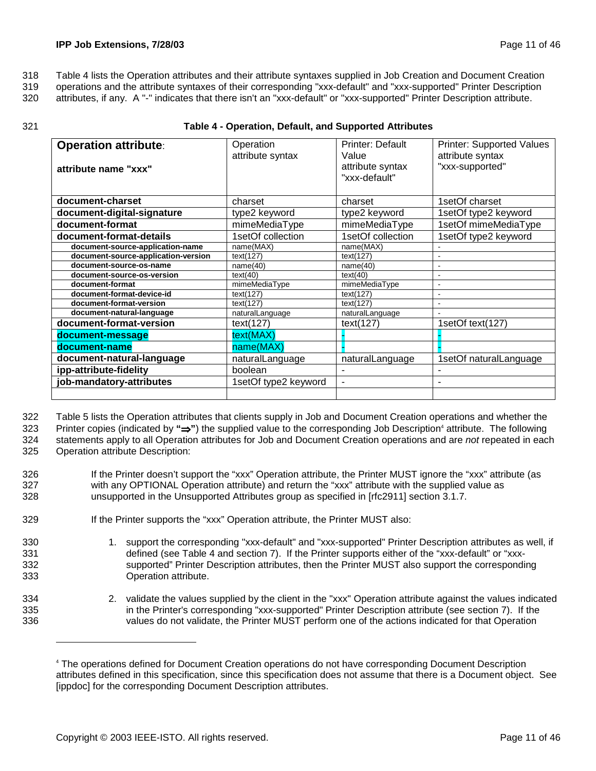318 Table 4 lists the Operation attributes and their attribute syntaxes supplied in Job Creation and Document Creation

319 operations and the attribute syntaxes of their corresponding "xxx-default" and "xxx-supported" Printer Description

320 attributes, if any. A "-" indicates that there isn't an "xxx-default" or "xxx-supported" Printer Description attribute.

#### 321 **Table 4 - Operation, Default, and Supported Attributes**

| <b>Operation attribute:</b><br>attribute name "xxx" | <b>Printer: Default</b><br>Operation<br>attribute syntax<br>Value<br>attribute syntax<br>"xxx-default" |                   | <b>Printer: Supported Values</b><br>attribute syntax<br>"xxx-supported" |  |  |
|-----------------------------------------------------|--------------------------------------------------------------------------------------------------------|-------------------|-------------------------------------------------------------------------|--|--|
|                                                     |                                                                                                        |                   |                                                                         |  |  |
| document-charset                                    | charset                                                                                                | charset           | 1setOf charset                                                          |  |  |
| document-digital-signature                          | type2 keyword                                                                                          | type2 keyword     | 1setOf type2 keyword                                                    |  |  |
| document-format                                     | mimeMediaType                                                                                          | mimeMediaType     | 1setOf mimeMediaType                                                    |  |  |
| document-format-details                             | 1setOf collection                                                                                      | 1setOf collection | 1setOf type2 keyword                                                    |  |  |
| document-source-application-name                    | name(MAX)                                                                                              | name(MAX)         |                                                                         |  |  |
| document-source-application-version                 | text(127)                                                                                              | text(127)         |                                                                         |  |  |
| document-source-os-name                             | name(40)                                                                                               | name(40)          | $\blacksquare$                                                          |  |  |
| document-source-os-version                          | text(40)                                                                                               | text(40)          |                                                                         |  |  |
| document-format                                     | mimeMediaType                                                                                          | mimeMediaType     | $\blacksquare$                                                          |  |  |
| document-format-device-id                           | text(127)                                                                                              | text(127)         |                                                                         |  |  |
| document-format-version                             | text(127)                                                                                              | text(127)         | ۰                                                                       |  |  |
| document-natural-language                           | naturalLanguage                                                                                        | naturalLanguage   |                                                                         |  |  |
| document-format-version                             | text(127)                                                                                              | text(127)         | 1setOf text(127)                                                        |  |  |
| document-message                                    | text(MAX)                                                                                              |                   |                                                                         |  |  |
| document-name                                       | name(MAX)                                                                                              |                   |                                                                         |  |  |
| document-natural-language                           | naturalLanguage                                                                                        | naturalLanguage   | 1setOf naturalLanguage                                                  |  |  |
| ipp-attribute-fidelity                              | boolean                                                                                                |                   |                                                                         |  |  |
| job-mandatory-attributes                            | 1setOf type2 keyword                                                                                   | $\blacksquare$    | ۰                                                                       |  |  |
|                                                     |                                                                                                        |                   |                                                                         |  |  |

322 Table 5 lists the Operation attributes that clients supply in Job and Document Creation operations and whether the

323 Printer copies (indicated by "**→**") the supplied value to the corresponding Job Description<sup>4</sup> attribute. The following 324 statements apply to all Operation attributes for Job and Document Creation operations and are *not* repeated in each 325 Operation attribute Description:

- 326 If the Printer doesn't support the "xxx" Operation attribute, the Printer MUST ignore the "xxx" attribute (as 327 with any OPTIONAL Operation attribute) and return the "xxx" attribute with the supplied value as 328 unsupported in the Unsupported Attributes group as specified in [rfc2911] section 3.1.7.
- 329 **If the Printer supports the "xxx" Operation attribute, the Printer MUST also:**
- 330 1. support the corresponding "xxx-default" and "xxx-supported" Printer Description attributes as well, if 331 defined (see Table 4 and section 7). If the Printer supports either of the "xxx-default" or "xxx-332 supported" Printer Description attributes, then the Printer MUST also support the corresponding 333 Operation attribute.
- 334 2. validate the values supplied by the client in the "xxx" Operation attribute against the values indicated 335 in the Printer's corresponding "xxx-supported" Printer Description attribute (see section 7). If the 336 values do not validate, the Printer MUST perform one of the actions indicated for that Operation

<sup>4</sup> The operations defined for Document Creation operations do not have corresponding Document Description attributes defined in this specification, since this specification does not assume that there is a Document object. See [ippdoc] for the corresponding Document Description attributes.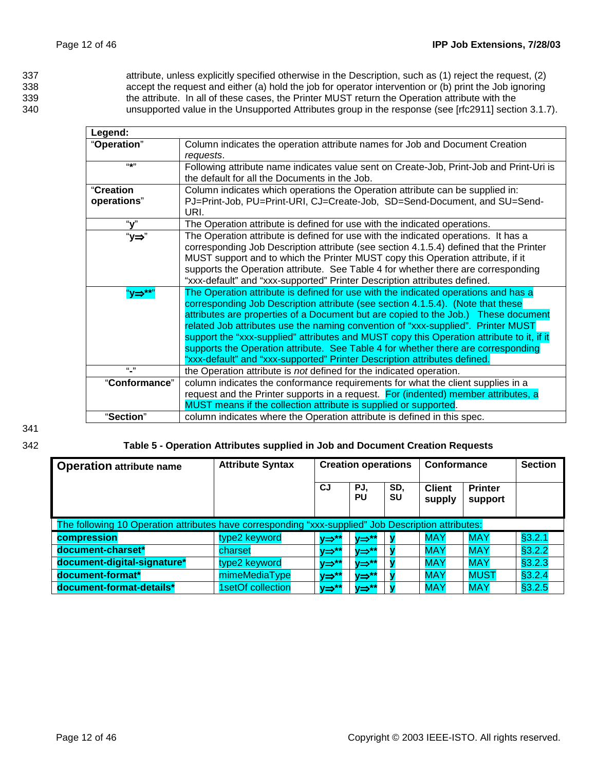337 attribute, unless explicitly specified otherwise in the Description, such as (1) reject the request, (2) 338 accept the request and either (a) hold the job for operator intervention or (b) print the Job ignoring 339 the attribute. In all of these cases, the Printer MUST return the Operation attribute with the<br>340 sunsupported value in the Unsupported Attributes group in the response (see [rfc2911] section unsupported value in the Unsupported Attributes group in the response (see [rfc2911] section 3.1.7).

| Legend:       |                                                                                           |
|---------------|-------------------------------------------------------------------------------------------|
| "Operation"   | Column indicates the operation attribute names for Job and Document Creation              |
|               | requests.                                                                                 |
| $((+1)$       | Following attribute name indicates value sent on Create-Job, Print-Job and Print-Uri is   |
|               | the default for all the Documents in the Job.                                             |
| "Creation     | Column indicates which operations the Operation attribute can be supplied in:             |
| operations"   | PJ=Print-Job, PU=Print-URI, CJ=Create-Job, SD=Send-Document, and SU=Send-                 |
|               | URI.                                                                                      |
| "v"           | The Operation attribute is defined for use with the indicated operations.                 |
| "у⇒"          | The Operation attribute is defined for use with the indicated operations. It has a        |
|               | corresponding Job Description attribute (see section 4.1.5.4) defined that the Printer    |
|               | MUST support and to which the Printer MUST copy this Operation attribute, if it           |
|               | supports the Operation attribute. See Table 4 for whether there are corresponding         |
|               | "xxx-default" and "xxx-supported" Printer Description attributes defined.                 |
| "y⇒**"        | The Operation attribute is defined for use with the indicated operations and has a        |
|               | corresponding Job Description attribute (see section 4.1.5.4). (Note that these           |
|               | attributes are properties of a Document but are copied to the Job.) These document        |
|               | related Job attributes use the naming convention of "xxx-supplied". Printer MUST          |
|               | support the "xxx-supplied" attributes and MUST copy this Operation attribute to it, if it |
|               | supports the Operation attribute. See Table 4 for whether there are corresponding         |
|               | "xxx-default" and "xxx-supported" Printer Description attributes defined.                 |
| $\frac{1}{2}$ | the Operation attribute is not defined for the indicated operation.                       |
| "Conformance" | column indicates the conformance requirements for what the client supplies in a           |
|               | request and the Printer supports in a request. For (indented) member attributes, a        |
|               | MUST means if the collection attribute is supplied or supported.                          |
| "Section"     | column indicates where the Operation attribute is defined in this spec.                   |

341

#### 342 **Table 5 - Operation Attributes supplied in Job and Document Creation Requests**

| <b>Operation attribute name</b>                                                                     | <b>Attribute Syntax</b> | <b>Creation operations</b> |                    | <b>Conformance</b> |                         | <b>Section</b>            |         |  |
|-----------------------------------------------------------------------------------------------------|-------------------------|----------------------------|--------------------|--------------------|-------------------------|---------------------------|---------|--|
|                                                                                                     |                         | <b>CJ</b>                  | PJ.<br>PU          | SD.<br>SU          | <b>Client</b><br>supply | <b>Printer</b><br>support |         |  |
| The following 10 Operation attributes have corresponding "xxx-supplied" Job Description attributes: |                         |                            |                    |                    |                         |                           |         |  |
| compression                                                                                         | type2 keyword           | у⇒**                       | $V \Rightarrow$ ** |                    | <b>MAY</b>              | <b>MAY</b>                | §3.2.1  |  |
| document-charset*                                                                                   | charset                 | v⇒**                       | $V \Rightarrow$ ** |                    | <b>MAY</b>              | <b>MAY</b>                | \$3.2.2 |  |
| document-digital-signature*                                                                         | type2 keyword           | v⇒**                       | v⇒**               |                    | <b>MAY</b>              | <b>MAY</b>                | \$3.2.3 |  |
| document-format*                                                                                    | mimeMediaType           | <b>v⇒**</b>                | $V \rightarrow$ ** |                    | <b>MAY</b>              | <b>MUST</b>               | §3.2.4  |  |
| document-format-details*                                                                            | 1setOf collection       | y⇒**                       | v⇒**               |                    | <b>MAY</b>              | <b>MAY</b>                | §3.2.5  |  |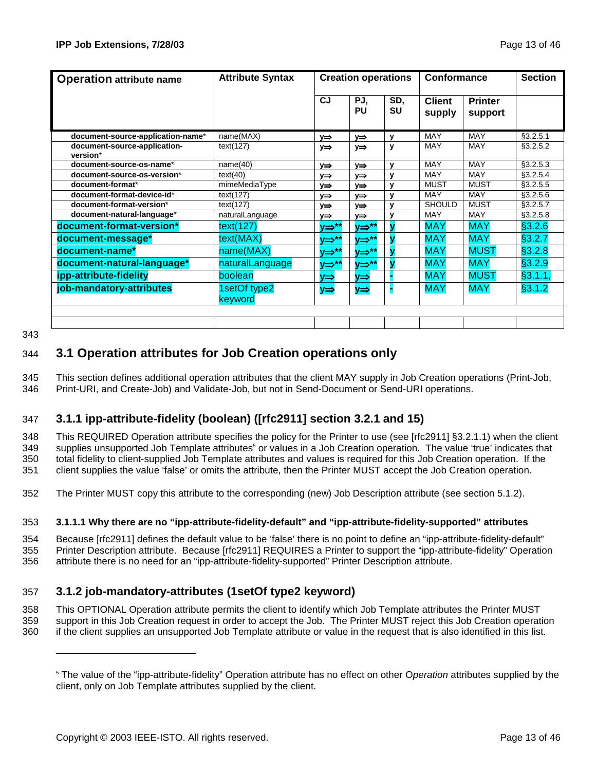| <b>Operation attribute name</b>          | <b>Attribute Syntax</b> | <b>Creation operations</b> |                  | Conformance      |                         | <b>Section</b>            |           |
|------------------------------------------|-------------------------|----------------------------|------------------|------------------|-------------------------|---------------------------|-----------|
|                                          |                         | <b>CJ</b>                  | PJ,<br><b>PU</b> | SD.<br><b>SU</b> | <b>Client</b><br>supply | <b>Printer</b><br>support |           |
| document-source-application-name*        | name(MAX)               | y⇒                         | y⇒               | y                | <b>MAY</b>              | <b>MAY</b>                | §3.2.5.1  |
| document-source-application-<br>version* | text(127)               | y⇒                         | y⇒               | y                | <b>MAY</b>              | <b>MAY</b>                | \$3.2.5.2 |
| document-source-os-name*                 | name(40)                | $V \Rightarrow$            | $V \Rightarrow$  | y                | <b>MAY</b>              | <b>MAY</b>                | §3.2.5.3  |
| document-source-os-version*              | text(40)                | y⇒                         | y⇒               | y                | <b>MAY</b>              | <b>MAY</b>                | \$3.2.5.4 |
| document-format*                         | mimeMediaType           | $y \Rightarrow$            | y⇒               | y                | <b>MUST</b>             | <b>MUST</b>               | \$3.2.5.5 |
| document-format-device-id*               | text(127)               | y⇒                         | V⇒               | v                | <b>MAY</b>              | <b>MAY</b>                | \$3.2.5.6 |
| document-format-version*                 | text(127)               | y⇒                         | V⇒               | y                | <b>SHOULD</b>           | <b>MUST</b>               | §3.2.5.7  |
| document-natural-language*               | naturalLanguage         | y⇒                         | y⇒               | y                | <b>MAY</b>              | <b>MAY</b>                | §3.2.5.8  |
| document-format-version*                 | text(127)               | y⇒**                       | <u>v⇒**</u>      |                  | <b>MAY</b>              | <b>MAY</b>                | §3.2.6    |
| document-message*                        | text(MAX)               | <b>y⇒**</b>                | <u>v⇒**</u>      |                  | <b>MAY</b>              | <b>MAY</b>                | §3.2.7    |
| document-name*                           | name(MAX)               | v⇒*'                       | <b>y⇒**</b>      |                  | <b>MAY</b>              | <b>MUST</b>               | §3.2.8    |
| document-natural-language*               | naturalLanguage         | у⇒**                       | <u>y⇒**</u>      |                  | <b>MAY</b>              | <b>MAY</b>                | §3.2.9    |
| ipp-attribute-fidelity                   | boolean                 | y⇒                         | $y \Rightarrow$  |                  | <b>MAY</b>              | <b>MUST</b>               | §3.1.1,   |
| job-mandatory-attributes                 | 1setOf type2<br>keyword | y⇒                         | $y \Rightarrow$  |                  | <b>MAY</b>              | <b>MAY</b>                | §3.1.2    |
|                                          |                         |                            |                  |                  |                         |                           |           |

343

-

### 344 **3.1 Operation attributes for Job Creation operations only**

345 This section defines additional operation attributes that the client MAY supply in Job Creation operations (Print-Job, 346 Print-URI, and Create-Job) and Validate-Job, but not in Send-Document or Send-URI operations.

### 347 **3.1.1 ipp-attribute-fidelity (boolean) ([rfc2911] section 3.2.1 and 15)**

348 This REQUIRED Operation attribute specifies the policy for the Printer to use (see [rfc2911] §3.2.1.1) when the client 349 supplies unsupported Job Template attributes<sup>5</sup> or values in a Job Creation operation. The value 'true' indicates that 350 total fidelity to client-supplied Job Template attributes and values is required for this Job Creation operation. If the 351 client supplies the value 'false' or omits the attribute, then the Printer MUST accept the Job Creation operation.

352 The Printer MUST copy this attribute to the corresponding (new) Job Description attribute (see section 5.1.2).

#### 353 **3.1.1.1 Why there are no "ipp-attribute-fidelity-default" and "ipp-attribute-fidelity-supported" attributes**

354 Because [rfc2911] defines the default value to be 'false' there is no point to define an "ipp-attribute-fidelity-default" 355 Printer Description attribute. Because [rfc2911] REQUIRES a Printer to support the "ipp-attribute-fidelity" Operation 356 attribute there is no need for an "ipp-attribute-fidelity-supported" Printer Description attribute.

### 357 **3.1.2 job-mandatory-attributes (1setOf type2 keyword)**

358 This OPTIONAL Operation attribute permits the client to identify which Job Template attributes the Printer MUST 359 support in this Job Creation request in order to accept the Job. The Printer MUST reject this Job Creation operation 360 if the client supplies an unsupported Job Template attribute or value in the request that is also identified in this list.

<sup>5</sup> The value of the "ipp-attribute-fidelity" Operation attribute has no effect on other O*peration* attributes supplied by the client, only on Job Template attributes supplied by the client.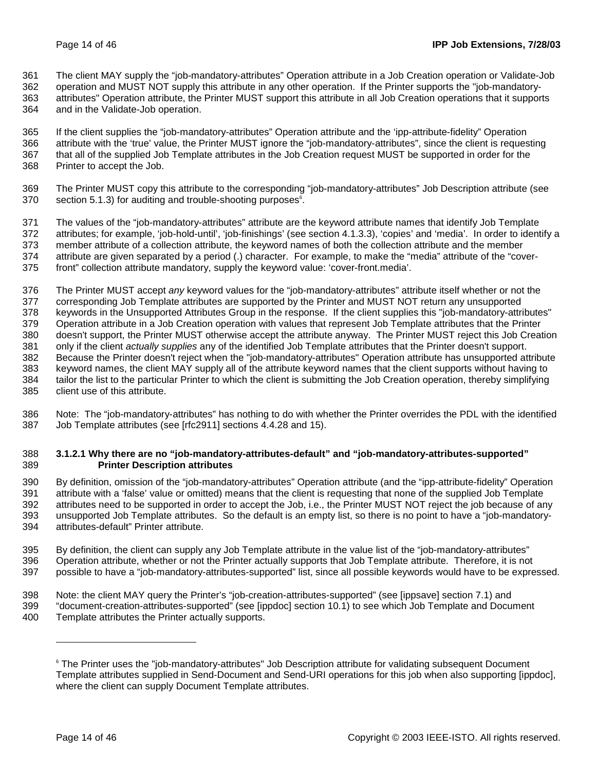361 The client MAY supply the "job-mandatory-attributes" Operation attribute in a Job Creation operation or Validate-Job

362 operation and MUST NOT supply this attribute in any other operation. If the Printer supports the "job-mandatory-363 attributes" Operation attribute, the Printer MUST support this attribute in all Job Creation operations that it supports 364 and in the Validate-Job operation.

365 If the client supplies the "job-mandatory-attributes" Operation attribute and the 'ipp-attribute-fidelity" Operation 366 attribute with the 'true' value, the Printer MUST ignore the "job-mandatory-attributes", since the client is requesting 367 that all of the supplied Job Template attributes in the Job Creation request MUST be supported in order for the 368 Printer to accept the Job.

369 The Printer MUST copy this attribute to the corresponding "job-mandatory-attributes" Job Description attribute (see  $370$  section 5.1.3) for auditing and trouble-shooting purposes<sup>6</sup>.

371 The values of the "job-mandatory-attributes" attribute are the keyword attribute names that identify Job Template 372 attributes; for example, 'job-hold-until', 'job-finishings' (see section 4.1.3.3), 'copies' and 'media'. In order to identify a 373 member attribute of a collection attribute, the keyword names of both the collection attribute and the member 374 attribute are given separated by a period (.) character. For example, to make the "media" attribute of the "cover-375 front" collection attribute mandatory, supply the keyword value: 'cover-front.media'.

376 The Printer MUST accept *any* keyword values for the "job-mandatory-attributes" attribute itself whether or not the 377 corresponding Job Template attributes are supported by the Printer and MUST NOT return any unsupported 378 keywords in the Unsupported Attributes Group in the response. If the client supplies this "job-mandatory-attributes" 379 Operation attribute in a Job Creation operation with values that represent Job Template attributes that the Printer 380 doesn't support, the Printer MUST otherwise accept the attribute anyway. The Printer MUST reject this Job Creation 381 only if the client *actually supplies* any of the identified Job Template attributes that the Printer doesn't support. 382 Because the Printer doesn't reject when the "job-mandatory-attributes" Operation attribute has unsupported attribute 383 keyword names, the client MAY supply all of the attribute keyword names that the client supports without having to 384 tailor the list to the particular Printer to which the client is submitting the Job Creation operation, thereby simplifying 385 client use of this attribute.

386 Note: The "job-mandatory-attributes" has nothing to do with whether the Printer overrides the PDL with the identified 387 Job Template attributes (see [rfc2911] sections 4.4.28 and 15).

#### 388 **3.1.2.1 Why there are no "job-mandatory-attributes-default" and "job-mandatory-attributes-supported"**  389 **Printer Description attributes**

390 By definition, omission of the "job-mandatory-attributes" Operation attribute (and the "ipp-attribute-fidelity" Operation 391 attribute with a 'false' value or omitted) means that the client is requesting that none of the supplied Job Template 392 attributes need to be supported in order to accept the Job, i.e., the Printer MUST NOT reject the job because of any 393 unsupported Job Template attributes. So the default is an empty list, so there is no point to have a "job-mandatory-394 attributes-default" Printer attribute.

395 By definition, the client can supply any Job Template attribute in the value list of the "job-mandatory-attributes" 396 Operation attribute, whether or not the Printer actually supports that Job Template attribute. Therefore, it is not 397 possible to have a "job-mandatory-attributes-supported" list, since all possible keywords would have to be expressed.

- 398 Note: the client MAY query the Printer's "job-creation-attributes-supported" (see [ippsave] section 7.1) and 399 "document-creation-attributes-supported" (see [ippdoc] section 10.1) to see which Job Template and Document
- 400 Template attributes the Printer actually supports.

<sup>6</sup> The Printer uses the "job-mandatory-attributes" Job Description attribute for validating subsequent Document Template attributes supplied in Send-Document and Send-URI operations for this job when also supporting [ippdoc], where the client can supply Document Template attributes.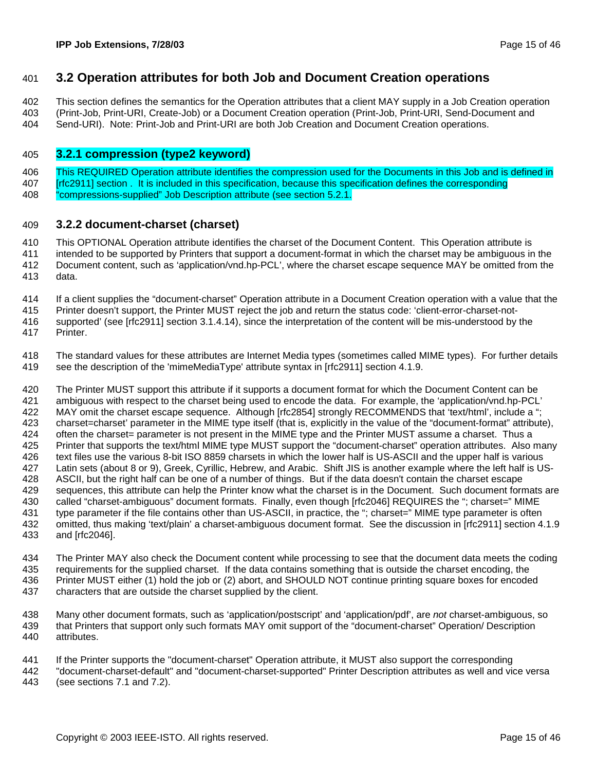### 401 **3.2 Operation attributes for both Job and Document Creation operations**

402 This section defines the semantics for the Operation attributes that a client MAY supply in a Job Creation operation 403 (Print-Job, Print-URI, Create-Job) or a Document Creation operation (Print-Job, Print-URI, Send-Document and

404 Send-URI). Note: Print-Job and Print-URI are both Job Creation and Document Creation operations.

#### 405 **3.2.1 compression (type2 keyword)**

406 This REQUIRED Operation attribute identifies the compression used for the Documents in this Job and is defined in 407 [rfc2911] section . It is included in this specification, because this specification defines the corresponding

408 <sup>"</sup>compressions-supplied" Job Description attribute (see section 5.2.1.

#### 409 **3.2.2 document-charset (charset)**

410 This OPTIONAL Operation attribute identifies the charset of the Document Content. This Operation attribute is 411 intended to be supported by Printers that support a document-format in which the charset may be ambiguous in the 412 Document content, such as 'application/vnd.hp-PCL', where the charset escape sequence MAY be omitted from the

413 data.

414 If a client supplies the "document-charset" Operation attribute in a Document Creation operation with a value that the

415 Printer doesn't support, the Printer MUST reject the job and return the status code: 'client-error-charset-not-

416 supported' (see [rfc2911] section 3.1.4.14), since the interpretation of the content will be mis-understood by the

417 Printer.

418 The standard values for these attributes are Internet Media types (sometimes called MIME types). For further details 419 see the description of the 'mimeMediaType' attribute syntax in [rfc2911] section 4.1.9.

420 The Printer MUST support this attribute if it supports a document format for which the Document Content can be 421 ambiguous with respect to the charset being used to encode the data. For example, the 'application/vnd.hp-PCL' 422 MAY omit the charset escape sequence. Although [rfc2854] strongly RECOMMENDS that 'text/html', include a "; 423 charset=charset' parameter in the MIME type itself (that is, explicitly in the value of the "document-format" attribute), 424 often the charset= parameter is not present in the MIME type and the Printer MUST assume a charset. Thus a 425 Printer that supports the text/html MIME type MUST support the "document-charset" operation attributes. Also many 426 text files use the various 8-bit ISO 8859 charsets in which the lower half is US-ASCII and the upper half is various 427 Latin sets (about 8 or 9), Greek, Cyrillic, Hebrew, and Arabic. Shift JIS is another example where the left half is US-428 ASCII, but the right half can be one of a number of things. But if the data doesn't contain the charset escape 429 sequences, this attribute can help the Printer know what the charset is in the Document. Such document formats are 430 called "charset-ambiguous" document formats. Finally, even though [rfc2046] REQUIRES the "; charset=" MIME 431 type parameter if the file contains other than US-ASCII, in practice, the "; charset=" MIME type parameter is often 432 omitted, thus making 'text/plain' a charset-ambiguous document format. See the discussion in [rfc2911] section 4.1.9 433 and [rfc2046].

434 The Printer MAY also check the Document content while processing to see that the document data meets the coding 435 requirements for the supplied charset. If the data contains something that is outside the charset encoding, the 436 Printer MUST either (1) hold the job or (2) abort, and SHOULD NOT continue printing square boxes for encoded 437 characters that are outside the charset supplied by the client.

438 Many other document formats, such as 'application/postscript' and 'application/pdf', are *not* charset-ambiguous, so 439 that Printers that support only such formats MAY omit support of the "document-charset" Operation/ Description 440 attributes.

441 If the Printer supports the "document-charset" Operation attribute, it MUST also support the corresponding

442 "document-charset-default" and "document-charset-supported" Printer Description attributes as well and vice versa 443 (see sections 7.1 and 7.2).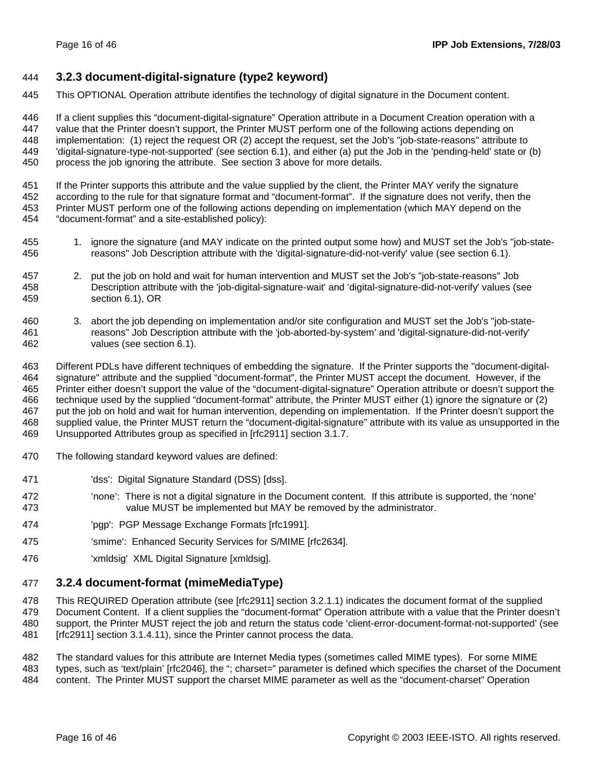#### 444 **3.2.3 document-digital-signature (type2 keyword)**

445 This OPTIONAL Operation attribute identifies the technology of digital signature in the Document content.

446 If a client supplies this "document-digital-signature" Operation attribute in a Document Creation operation with a 447 value that the Printer doesn't support, the Printer MUST perform one of the following actions depending on 448 implementation: (1) reject the request OR (2) accept the request, set the Job's "job-state-reasons" attribute to 449 'digital-signature-type-not-supported' (see section 6.1), and either (a) put the Job in the 'pending-held' state or (b) 450 process the job ignoring the attribute. See section 3 above for more details.

451 If the Printer supports this attribute and the value supplied by the client, the Printer MAY verify the signature 452 according to the rule for that signature format and "document-format". If the signature does not verify, then the 453 Printer MUST perform one of the following actions depending on implementation (which MAY depend on the 454 "document-format" and a site-established policy):

- 455 1. ignore the signature (and MAY indicate on the printed output some how) and MUST set the Job's "job-state-456 reasons" Job Description attribute with the 'digital-signature-did-not-verify' value (see section 6.1).
- 457 2. put the job on hold and wait for human intervention and MUST set the Job's "job-state-reasons" Job 458 Description attribute with the 'job-digital-signature-wait' and 'digital-signature-did-not-verify' values (see 459 section 6.1), OR
- 460 3. abort the job depending on implementation and/or site configuration and MUST set the Job's "job-state-461 reasons" Job Description attribute with the 'job-aborted-by-system' and 'digital-signature-did-not-verify' 462 values (see section 6.1).

463 Different PDLs have different techniques of embedding the signature. If the Printer supports the "document-digital-464 signature" attribute and the supplied "document-format", the Printer MUST accept the document. However, if the 465 Printer either doesn't support the value of the "document-digital-signature" Operation attribute or doesn't support the 466 technique used by the supplied "document-format" attribute, the Printer MUST either (1) ignore the signature or (2) 467 put the job on hold and wait for human intervention, depending on implementation. If the Printer doesn't support the 468 supplied value, the Printer MUST return the "document-digital-signature" attribute with its value as unsupported in the 469 Unsupported Attributes group as specified in [rfc2911] section 3.1.7.

- 470 The following standard keyword values are defined:
- 471 'dss': Digital Signature Standard (DSS) [dss].
- 472 'none': There is not a digital signature in the Document content. If this attribute is supported, the 'none' 473 value MUST be implemented but MAY be removed by the administrator.
- 474 'pgp': PGP Message Exchange Formats [rfc1991].
- 475 'smime': Enhanced Security Services for S/MIME [rfc2634].
- 476 'xmldsig' XML Digital Signature [xmldsig].

#### 477 **3.2.4 document-format (mimeMediaType)**

478 This REQUIRED Operation attribute (see [rfc2911] section 3.2.1.1) indicates the document format of the supplied 479 Document Content. If a client supplies the "document-format" Operation attribute with a value that the Printer doesn't 480 support, the Printer MUST reject the job and return the status code 'client-error-document-format-not-supported' (see 481 [rfc2911] section 3.1.4.11), since the Printer cannot process the data.

- 482 The standard values for this attribute are Internet Media types (sometimes called MIME types). For some MIME
- 483 types, such as 'text/plain' [rfc2046], the "; charset=" parameter is defined which specifies the charset of the Document
- 484 content. The Printer MUST support the charset MIME parameter as well as the "document-charset" Operation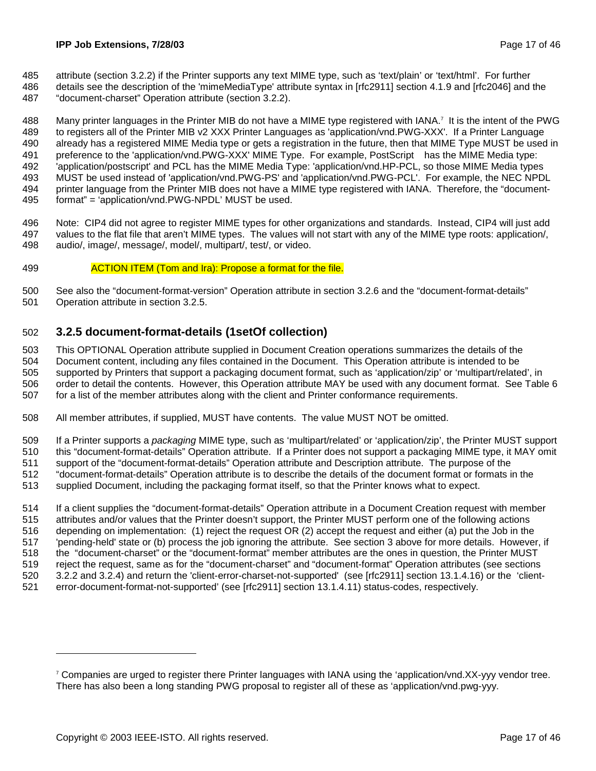- 485 attribute (section 3.2.2) if the Printer supports any text MIME type, such as 'text/plain' or 'text/html'. For further
- 486 details see the description of the 'mimeMediaType' attribute syntax in [rfc2911] section 4.1.9 and [rfc2046] and the
- 487 "document-charset" Operation attribute (section 3.2.2).

488 Many printer languages in the Printer MIB do not have a MIME type registered with IANA.<sup>7</sup> It is the intent of the PWG 489 to registers all of the Printer MIB v2 XXX Printer Languages as 'application/vnd.PWG-XXX'. If a Printer Language 490 already has a registered MIME Media type or gets a registration in the future, then that MIME Type MUST be used in 491 preference to the 'application/vnd.PWG-XXX' MIME Type. For example, PostScript® has the MIME Media type: 492 'application/postscript' and PCL has the MIME Media Type: 'application/vnd.HP-PCL, so those MIME Media types 493 MUST be used instead of 'application/vnd.PWG-PS' and 'application/vnd.PWG-PCL'. For example, the NEC NPDL 494 printer language from the Printer MIB does not have a MIME type registered with IANA. Therefore, the "document-495 format" = 'application/vnd.PWG-NPDL' MUST be used.

496 Note: CIP4 did not agree to register MIME types for other organizations and standards. Instead, CIP4 will just add 497 values to the flat file that aren't MIME types. The values will not start with any of the MIME type roots: application/, 498 audio/, image/, message/, model/, multipart/, test/, or video.

#### 499 ACTION ITEM (Tom and Ira): Propose a format for the file.

500 See also the "document-format-version" Operation attribute in section 3.2.6 and the "document-format-details"

501 Operation attribute in section 3.2.5.

### 502 **3.2.5 document-format-details (1setOf collection)**

503 This OPTIONAL Operation attribute supplied in Document Creation operations summarizes the details of the 504 Document content, including any files contained in the Document. This Operation attribute is intended to be 505 supported by Printers that support a packaging document format, such as 'application/zip' or 'multipart/related', in 506 order to detail the contents. However, this Operation attribute MAY be used with any document format. See Table 6 507 for a list of the member attributes along with the client and Printer conformance requirements.

508 All member attributes, if supplied, MUST have contents. The value MUST NOT be omitted.

509 If a Printer supports a *packaging* MIME type, such as 'multipart/related' or 'application/zip', the Printer MUST support 510 this "document-format-details" Operation attribute. If a Printer does not support a packaging MIME type, it MAY omit 511 support of the "document-format-details" Operation attribute and Description attribute. The purpose of the

512 "document-format-details" Operation attribute is to describe the details of the document format or formats in the

513 supplied Document, including the packaging format itself, so that the Printer knows what to expect.

514 If a client supplies the "document-format-details" Operation attribute in a Document Creation request with member 515 attributes and/or values that the Printer doesn't support, the Printer MUST perform one of the following actions 516 depending on implementation: (1) reject the request OR (2) accept the request and either (a) put the Job in the 517 'pending-held' state or (b) process the job ignoring the attribute. See section 3 above for more details. However, if 518 the "document-charset" or the "document-format" member attributes are the ones in question, the Printer MUST 519 reject the request, same as for the "document-charset" and "document-format" Operation attributes (see sections 520 3.2.2 and 3.2.4) and return the 'client-error-charset-not-supported' (see [rfc2911] section 13.1.4.16) or the 'client-521 error-document-format-not-supported' (see [rfc2911] section 13.1.4.11) status-codes, respectively.

<sup>7</sup> Companies are urged to register there Printer languages with IANA using the 'application/vnd.XX-yyy vendor tree. There has also been a long standing PWG proposal to register all of these as 'application/vnd.pwg-yyy.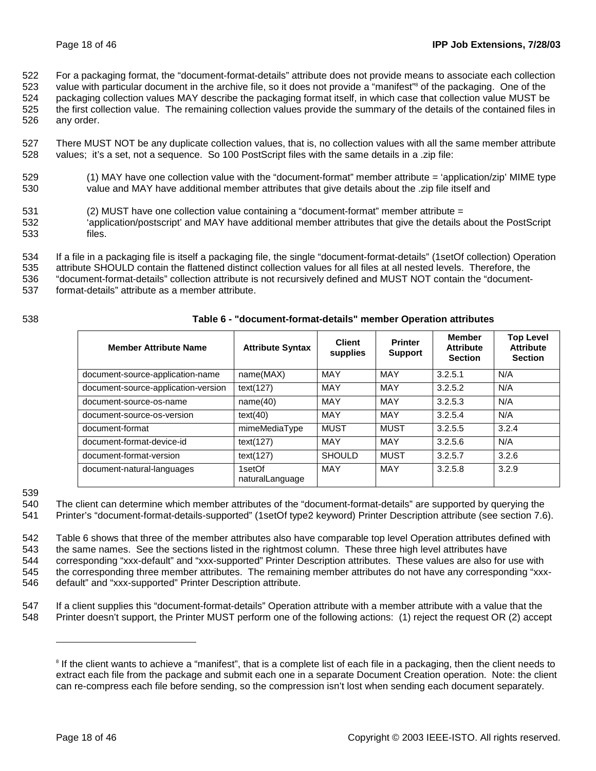522 For a packaging format, the "document-format-details" attribute does not provide means to associate each collection

- 523 value with particular document in the archive file, so it does not provide a "manifest"<sup>8</sup> of the packaging. One of the 524 packaging collection values MAY describe the packaging format itself, in which case that collection value MUST be 525 the first collection value. The remaining collection values provide the summary of the details of the contained files in
- 526 any order.
- 527 There MUST NOT be any duplicate collection values, that is, no collection values with all the same member attribute 528 values; it's a set, not a sequence. So 100 PostScript files with the same details in a .zip file:
- 529 (1) MAY have one collection value with the "document-format" member attribute = 'application/zip' MIME type 530 value and MAY have additional member attributes that give details about the .zip file itself and
- 531 (2) MUST have one collection value containing a "document-format" member attribute =
- 532 'application/postscript' and MAY have additional member attributes that give the details about the PostScript 533 files.

534 If a file in a packaging file is itself a packaging file, the single "document-format-details" (1setOf collection) Operation

535 attribute SHOULD contain the flattened distinct collection values for all files at all nested levels. Therefore, the

536 "document-format-details" collection attribute is not recursively defined and MUST NOT contain the "document-

537 format-details" attribute as a member attribute.

#### 538 **Table 6 - "document-format-details" member Operation attributes**

| <b>Member Attribute Name</b>        | <b>Attribute Syntax</b>   | <b>Client</b><br>supplies | <b>Printer</b><br><b>Support</b> | <b>Member</b><br><b>Attribute</b><br><b>Section</b> | <b>Top Level</b><br><b>Attribute</b><br><b>Section</b> |
|-------------------------------------|---------------------------|---------------------------|----------------------------------|-----------------------------------------------------|--------------------------------------------------------|
| document-source-application-name    | name(MAX)                 | MAY                       | MAY                              | 3.2.5.1                                             | N/A                                                    |
| document-source-application-version | text(127)                 | <b>MAY</b>                | <b>MAY</b>                       | 3.2.5.2                                             | N/A                                                    |
| document-source-os-name             | name(40)                  | MAY                       | MAY                              | 3.2.5.3                                             | N/A                                                    |
| document-source-os-version          | text(40)                  | <b>MAY</b>                | <b>MAY</b>                       | 3.2.5.4                                             | N/A                                                    |
| document-format                     | mimeMediaType             | <b>MUST</b>               | MUST                             | 3.2.5.5                                             | 3.2.4                                                  |
| document-format-device-id           | text(127)                 | <b>MAY</b>                | <b>MAY</b>                       | 3.2.5.6                                             | N/A                                                    |
| document-format-version             | text(127)                 | <b>SHOULD</b>             | <b>MUST</b>                      | 3.2.5.7                                             | 3.2.6                                                  |
| document-natural-languages          | 1setOf<br>naturalLanguage | <b>MAY</b>                | MAY                              | 3.2.5.8                                             | 3.2.9                                                  |

539

540 The client can determine which member attributes of the "document-format-details" are supported by querying the 541 Printer's "document-format-details-supported" (1setOf type2 keyword) Printer Description attribute (see section 7.6).

542 Table 6 shows that three of the member attributes also have comparable top level Operation attributes defined with 543 the same names. See the sections listed in the rightmost column. These three high level attributes have 544 corresponding "xxx-default" and "xxx-supported" Printer Description attributes. These values are also for use with 545 the corresponding three member attributes. The remaining member attributes do not have any corresponding "xxx-546 default" and "xxx-supported" Printer Description attribute.

547 If a client supplies this "document-format-details" Operation attribute with a member attribute with a value that the 548 Printer doesn't support, the Printer MUST perform one of the following actions: (1) reject the request OR (2) accept

<sup>&</sup>lt;sup>8</sup> If the client wants to achieve a "manifest", that is a complete list of each file in a packaging, then the client needs to extract each file from the package and submit each one in a separate Document Creation operation. Note: the client can re-compress each file before sending, so the compression isn't lost when sending each document separately.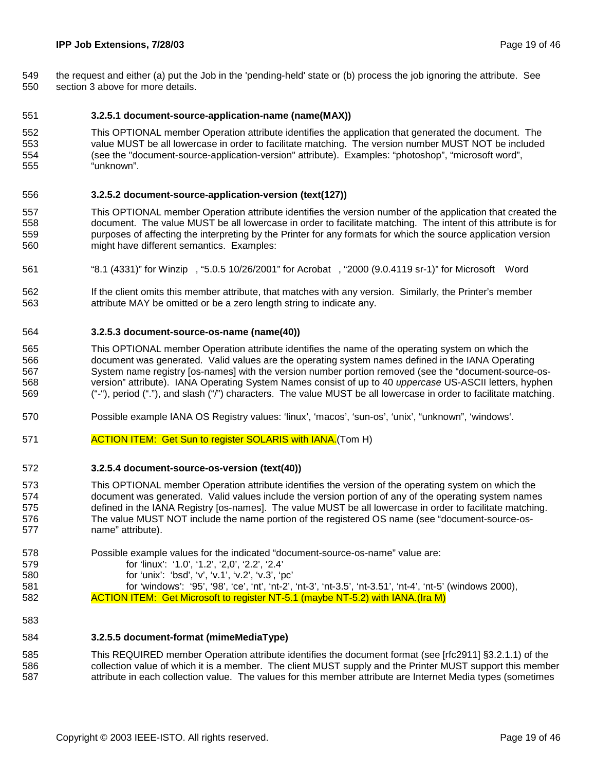549 the request and either (a) put the Job in the 'pending-held' state or (b) process the job ignoring the attribute. See 550 section 3 above for more details.

#### 551 **3.2.5.1 document-source-application-name (name(MAX))**

552 This OPTIONAL member Operation attribute identifies the application that generated the document. The 553 value MUST be all lowercase in order to facilitate matching. The version number MUST NOT be included 554 (see the "document-source-application-version" attribute). Examples: "photoshop", "microsoft word", 555 "unknown".

#### 556 **3.2.5.2 document-source-application-version (text(127))**

- 557 This OPTIONAL member Operation attribute identifies the version number of the application that created the 558 document. The value MUST be all lowercase in order to facilitate matching. The intent of this attribute is for 559 purposes of affecting the interpreting by the Printer for any formats for which the source application version 560 might have different semantics. Examples:
- 561 "8.1 (4331)" for Winzip®, "5.0.5 10/26/2001" for Acrobat®, "2000 (9.0.4119 sr-1)" for Microsoft® Word
- 562 If the client omits this member attribute, that matches with any version. Similarly, the Printer's member 563 attribute MAY be omitted or be a zero length string to indicate any.

#### 564 **3.2.5.3 document-source-os-name (name(40))**

- 565 This OPTIONAL member Operation attribute identifies the name of the operating system on which the 566 document was generated. Valid values are the operating system names defined in the IANA Operating 567 System name registry [os-names] with the version number portion removed (see the "document-source-os-568 version" attribute). IANA Operating System Names consist of up to 40 *uppercase* US-ASCII letters, hyphen 569 ("-"), period ("."), and slash ("/") characters. The value MUST be all lowercase in order to facilitate matching.
- 570 Possible example IANA OS Registry values: 'linux', 'macos', 'sun-os', 'unix', "unknown", 'windows'.
- 571 **ACTION ITEM: Get Sun to register SOLARIS with IANA.** (Tom H)

#### 572 **3.2.5.4 document-source-os-version (text(40))**

- 573 This OPTIONAL member Operation attribute identifies the version of the operating system on which the 574 document was generated. Valid values include the version portion of any of the operating system names 575 defined in the IANA Registry [os-names]. The value MUST be all lowercase in order to facilitate matching. 576 The value MUST NOT include the name portion of the registered OS name (see "document-source-os-577 name" attribute).
- 578 Possible example values for the indicated "document-source-os-name" value are: 579 for 'linux': '1.0', '1.2', '2,0', '2.2', '2.4'
	-
- 580 for 'unix': 'bsd', 'v', 'v.1', 'v.2', 'v.3', 'pc'
- 581 for 'windows': '95', '98', 'ce', 'nt', 'nt-2', 'nt-3', 'nt-3.5', 'nt-3.51', 'nt-4', 'nt-5' (windows 2000), 582 **ACTION ITEM:** Get Microsoft to register NT-5.1 (maybe NT-5.2) with IANA.(Ira M)
- 583

#### 584 **3.2.5.5 document-format (mimeMediaType)**

585 This REQUIRED member Operation attribute identifies the document format (see [rfc2911] §3.2.1.1) of the 586 collection value of which it is a member. The client MUST supply and the Printer MUST support this member 587 attribute in each collection value. The values for this member attribute are Internet Media types (sometimes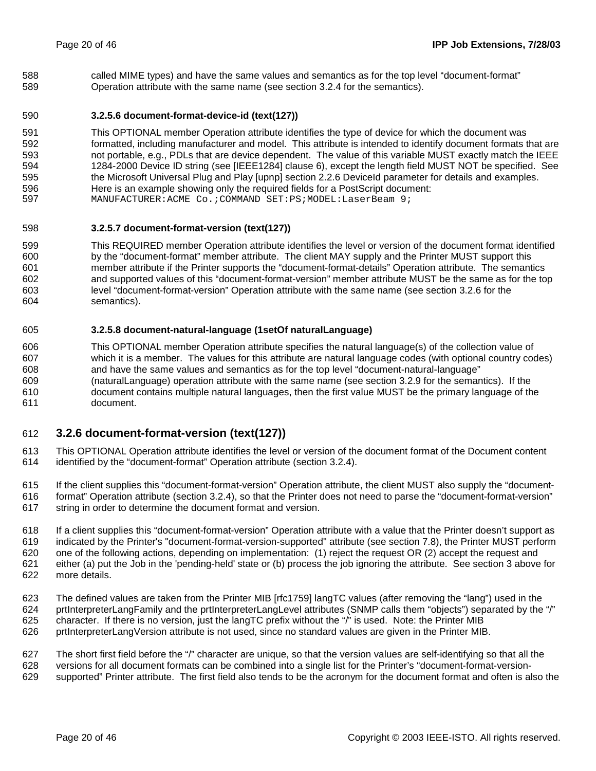588 called MIME types) and have the same values and semantics as for the top level "document-format" 589 Operation attribute with the same name (see section 3.2.4 for the semantics).

#### 590 **3.2.5.6 document-format-device-id (text(127))**

591 This OPTIONAL member Operation attribute identifies the type of device for which the document was 592 formatted, including manufacturer and model. This attribute is intended to identify document formats that are 593 not portable, e.g., PDLs that are device dependent. The value of this variable MUST exactly match the IEEE 594 1284-2000 Device ID string (see [IEEE1284] clause 6), except the length field MUST NOT be specified. See 595 the Microsoft Universal Plug and Play [upnp] section 2.2.6 DeviceId parameter for details and examples. 596 Here is an example showing only the required fields for a PostScript document: 597 MANUFACTURER:ACME Co.;COMMAND SET:PS;MODEL:LaserBeam 9;

#### 598 **3.2.5.7 document-format-version (text(127))**

599 This REQUIRED member Operation attribute identifies the level or version of the document format identified 600 by the "document-format" member attribute. The client MAY supply and the Printer MUST support this 601 member attribute if the Printer supports the "document-format-details" Operation attribute. The semantics 602 and supported values of this "document-format-version" member attribute MUST be the same as for the top 603 level "document-format-version" Operation attribute with the same name (see section 3.2.6 for the 604 semantics).

#### 605 **3.2.5.8 document-natural-language (1setOf naturalLanguage)**

606 This OPTIONAL member Operation attribute specifies the natural language(s) of the collection value of 607 which it is a member. The values for this attribute are natural language codes (with optional country codes) 608 and have the same values and semantics as for the top level "document-natural-language" 609 (naturalLanguage) operation attribute with the same name (see section 3.2.9 for the semantics). If the 610 document contains multiple natural languages, then the first value MUST be the primary language of the 611 document.

### 612 **3.2.6 document-format-version (text(127))**

613 This OPTIONAL Operation attribute identifies the level or version of the document format of the Document content 614 identified by the "document-format" Operation attribute (section 3.2.4).

615 If the client supplies this "document-format-version" Operation attribute, the client MUST also supply the "document-616 format" Operation attribute (section 3.2.4), so that the Printer does not need to parse the "document-format-version" 617 string in order to determine the document format and version.

618 If a client supplies this "document-format-version" Operation attribute with a value that the Printer doesn't support as 619 indicated by the Printer's "document-format-version-supported" attribute (see section 7.8), the Printer MUST perform 620 one of the following actions, depending on implementation: (1) reject the request OR (2) accept the request and 621 either (a) put the Job in the 'pending-held' state or (b) process the job ignoring the attribute. See section 3 above for 622 more details.

623 The defined values are taken from the Printer MIB [rfc1759] langTC values (after removing the "lang") used in the 624 prtInterpreterLangFamily and the prtInterpreterLangLevel attributes (SNMP calls them "objects") separated by the "/" 625 character. If there is no version, just the langTC prefix without the "/" is used. Note: the Printer MIB 626 prtInterpreterLangVersion attribute is not used, since no standard values are given in the Printer MIB.

627 The short first field before the "/" character are unique, so that the version values are self-identifying so that all the

628 versions for all document formats can be combined into a single list for the Printer's "document-format-version-

629 supported" Printer attribute. The first field also tends to be the acronym for the document format and often is also the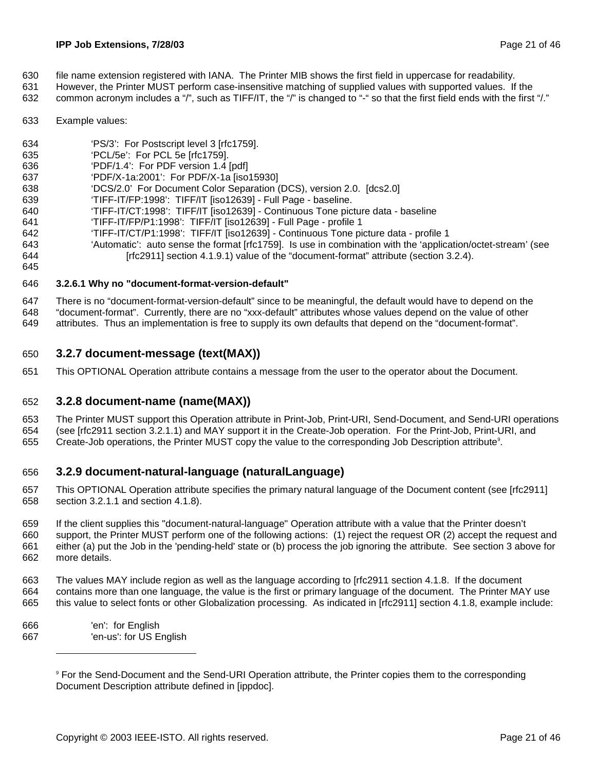- 630 file name extension registered with IANA. The Printer MIB shows the first field in uppercase for readability.
- 631 However, the Printer MUST perform case-insensitive matching of supplied values with supported values. If the
- 632 common acronym includes a "/", such as TIFF/IT, the "/" is changed to "-" so that the first field ends with the first "/."
- 633 Example values:

645

- 634 'PS/3': For Postscript level 3 [rfc1759].
- 635 'PCL/5e': For PCL 5e [rfc1759].
- 636 'PDF/1.4': For PDF version 1.4 [pdf]
- 637 'PDF/X-1a:2001': For PDF/X-1a [iso15930]
- 638 'DCS/2.0' For Document Color Separation (DCS), version 2.0. [dcs2.0]
- 639 'TIFF-IT/FP:1998': TIFF/IT [iso12639] Full Page baseline.
- 640 'TIFF-IT/CT:1998': TIFF/IT [iso12639] Continuous Tone picture data baseline
- 641 'TIFF-IT/FP/P1:1998': TIFF/IT [iso12639] Full Page profile 1
- 642 'TIFF-IT/CT/P1:1998': TIFF/IT [iso12639] Continuous Tone picture data profile 1
- 643 'Automatic': auto sense the format [rfc1759]. Is use in combination with the 'application/octet-stream' (see 644 [rfc2911] section 4.1.9.1) value of the "document-format" attribute (section 3.2.4).
- 646 **3.2.6.1 Why no "document-format-version-default"**
- 647 There is no "document-format-version-default" since to be meaningful, the default would have to depend on the 648 "document-format". Currently, there are no "xxx-default" attributes whose values depend on the value of other
- 649 attributes. Thus an implementation is free to supply its own defaults that depend on the "document-format".

### 650 **3.2.7 document-message (text(MAX))**

651 This OPTIONAL Operation attribute contains a message from the user to the operator about the Document.

### 652 **3.2.8 document-name (name(MAX))**

653 The Printer MUST support this Operation attribute in Print-Job, Print-URI, Send-Document, and Send-URI operations 654 (see [rfc2911 section 3.2.1.1) and MAY support it in the Create-Job operation. For the Print-Job, Print-URI, and

655 Create-Job operations, the Printer MUST copy the value to the corresponding Job Description attribute<sup>9</sup>.

### 656 **3.2.9 document-natural-language (naturalLanguage)**

- 657 This OPTIONAL Operation attribute specifies the primary natural language of the Document content (see [rfc2911] 658 section 3.2.1.1 and section 4.1.8).
- 659 If the client supplies this "document-natural-language" Operation attribute with a value that the Printer doesn't 660 support, the Printer MUST perform one of the following actions: (1) reject the request OR (2) accept the request and 661 either (a) put the Job in the 'pending-held' state or (b) process the job ignoring the attribute. See section 3 above for 662 more details.
- 663 The values MAY include region as well as the language according to [rfc2911 section 4.1.8. If the document 664 contains more than one language, the value is the first or primary language of the document. The Printer MAY use 665 this value to select fonts or other Globalization processing. As indicated in [rfc2911] section 4.1.8, example include:
- 666 'en': for English 667 'en-us': for US English

<sup>9</sup> For the Send-Document and the Send-URI Operation attribute, the Printer copies them to the corresponding Document Description attribute defined in [ippdoc].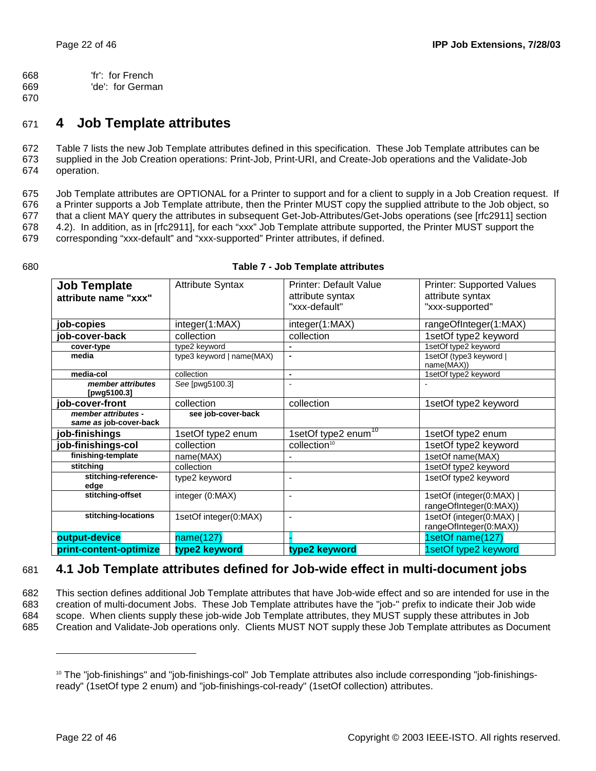668 'fr': for French

669 'de': for German

670

### 671 **4 Job Template attributes**

672 Table 7 lists the new Job Template attributes defined in this specification. These Job Template attributes can be 673 supplied in the Job Creation operations: Print-Job, Print-URI, and Create-Job operations and the Validate-Job 674 operation.

675 Job Template attributes are OPTIONAL for a Printer to support and for a client to supply in a Job Creation request. If 676 a Printer supports a Job Template attribute, then the Printer MUST copy the supplied attribute to the Job object, so 677 that a client MAY query the attributes in subsequent Get-Job-Attributes/Get-Jobs operations (see [rfc2911] section 678 4.2). In addition, as in [rfc2911], for each "xxx" Job Template attribute supported, the Printer MUST support the 679 corresponding "xxx-default" and "xxx-supported" Printer attributes, if defined.

| <b>Job Template</b>              | <b>Attribute Syntax</b>   | <b>Printer: Default Value</b>     | <b>Printer: Supported Values</b><br>attribute syntax |
|----------------------------------|---------------------------|-----------------------------------|------------------------------------------------------|
| attribute name "xxx"             |                           | attribute syntax<br>"xxx-default" |                                                      |
|                                  |                           |                                   | "xxx-supported"                                      |
| job-copies                       | integer(1:MAX)            | integer(1:MAX)                    | rangeOfInteger(1:MAX)                                |
| job-cover-back                   | collection                | collection                        | 1setOf type2 keyword                                 |
| cover-type                       | type2 keyword             |                                   | 1setOf type2 keyword                                 |
| media                            | type3 keyword   name(MAX) | $\overline{\phantom{a}}$          | 1setOf (type3 keyword  <br>name(MAX))                |
| media-col                        | collection                | $\blacksquare$                    | 1setOf type2 keyword                                 |
| member attributes<br>[pwg5100.3] | See [pwg5100.3]           |                                   |                                                      |
| job-cover-front                  | collection                | collection                        | 1setOf type2 keyword                                 |
| member attributes -              | see job-cover-back        |                                   |                                                      |
| same as job-cover-back           |                           |                                   |                                                      |
| job-finishings                   | 1setOf type2 enum         | 1setOf type2 enum <sup>10</sup>   | 1setOf type2 enum                                    |
| job-finishings-col               | collection                | collection <sup>10</sup>          | 1setOf type2 keyword                                 |
| finishing-template               | name(MAX)                 |                                   | 1setOf name(MAX)                                     |
| stitching                        | collection                |                                   | 1setOf type2 keyword                                 |
| stitching-reference-<br>edge     | type2 keyword             | $\overline{\phantom{a}}$          | 1setOf type2 keyword                                 |
| stitching-offset                 | integer (0:MAX)           | $\blacksquare$                    | 1setOf (integer(0:MAX)                               |
|                                  |                           |                                   | rangeOfInteger(0:MAX))                               |
| stitching-locations              | 1setOf integer(0:MAX)     | $\overline{\phantom{a}}$          | 1setOf (integer(0:MAX)                               |
|                                  |                           |                                   | rangeOfInteger(0:MAX))                               |
| output-device                    | name(127)                 |                                   | 1setOf name(127)                                     |
| print-content-optimize           | type2 keyword             | type2 keyword                     | 1setOf type2 keyword                                 |

#### 680 **Table 7 - Job Template attributes**

### 681 **4.1 Job Template attributes defined for Job-wide effect in multi-document jobs**

682 This section defines additional Job Template attributes that have Job-wide effect and so are intended for use in the 683 creation of multi-document Jobs. These Job Template attributes have the "job-" prefix to indicate their Job wide 684 scope. When clients supply these job-wide Job Template attributes, they MUST supply these attributes in Job 685 Creation and Validate-Job operations only. Clients MUST NOT supply these Job Template attributes as Document

<sup>&</sup>lt;sup>10</sup> The "job-finishings" and "job-finishings-col" Job Template attributes also include corresponding "job-finishingsready" (1setOf type 2 enum) and "job-finishings-col-ready" (1setOf collection) attributes.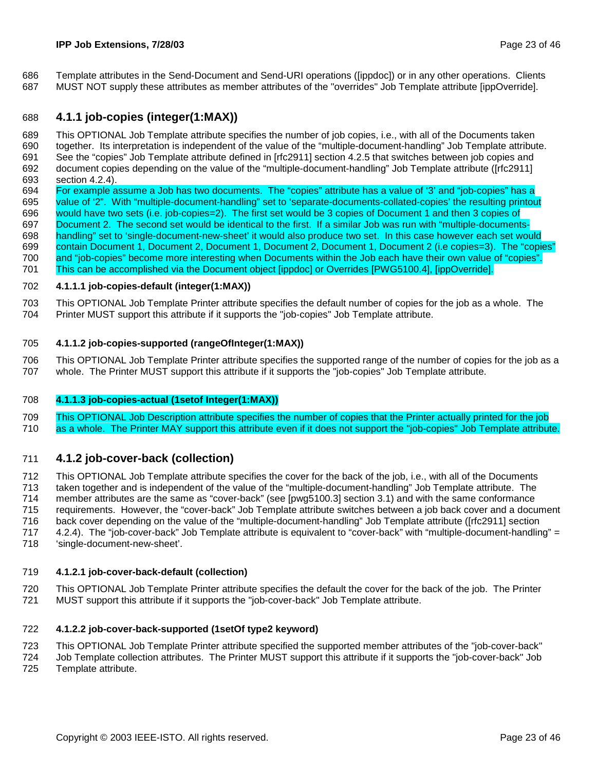686 Template attributes in the Send-Document and Send-URI operations ([ippdoc]) or in any other operations. Clients 687 MUST NOT supply these attributes as member attributes of the "overrides" Job Template attribute [ippOverride].

#### 688 **4.1.1 job-copies (integer(1:MAX))**

689 This OPTIONAL Job Template attribute specifies the number of job copies, i.e., with all of the Documents taken 690 together. Its interpretation is independent of the value of the "multiple-document-handling" Job Template attribute. 691 See the "copies" Job Template attribute defined in [rfc2911] section 4.2.5 that switches between job copies and 692 document copies depending on the value of the "multiple-document-handling" Job Template attribute ([rfc2911] 693 section 4.2.4).

694 For example assume a Job has two documents. The "copies" attribute has a value of '3' and "job-copies" has a 695 value of '2". With "multiple-document-handling" set to 'separate-documents-collated-copies' the resulting printout 696 would have two sets (i.e. job-copies=2). The first set would be 3 copies of Document 1 and then 3 copies of 697 Document 2. The second set would be identical to the first. If a similar Job was run with "multiple-documents-698 handling" set to 'single-document-new-sheet' it would also produce two set. In this case however each set would 699 contain Document 1, Document 2, Document 1, Document 2, Document 1, Document 2 (i.e copies=3). The "copies" 700 and "job-copies" become more interesting when Documents within the Job each have their own value of "copies". 701 This can be accomplished via the Document object [ippdoc] or Overrides [PWG5100.4], [ippOverride].

#### 702 **4.1.1.1 job-copies-default (integer(1:MAX))**

703 This OPTIONAL Job Template Printer attribute specifies the default number of copies for the job as a whole. The 704 Printer MUST support this attribute if it supports the "job-copies" Job Template attribute.

#### 705 **4.1.1.2 job-copies-supported (rangeOfInteger(1:MAX))**

706 This OPTIONAL Job Template Printer attribute specifies the supported range of the number of copies for the job as a 707 whole. The Printer MUST support this attribute if it supports the "job-copies" Job Template attribute.

#### 708 **4.1.1.3 job-copies-actual (1setof Integer(1:MAX))**

709 This OPTIONAL Job Description attribute specifies the number of copies that the Printer actually printed for the job 710 as a whole. The Printer MAY support this attribute even if it does not support the "job-copies" Job Template attribute.

#### 711 **4.1.2 job-cover-back (collection)**

712 This OPTIONAL Job Template attribute specifies the cover for the back of the job, i.e., with all of the Documents 713 taken together and is independent of the value of the "multiple-document-handling" Job Template attribute. The 714 member attributes are the same as "cover-back" (see [pwg5100.3] section 3.1) and with the same conformance 715 requirements. However, the "cover-back" Job Template attribute switches between a job back cover and a document 716 back cover depending on the value of the "multiple-document-handling" Job Template attribute ([rfc2911] section 717 4.2.4). The "job-cover-back" Job Template attribute is equivalent to "cover-back" with "multiple-document-handling" = 718 'single-document-new-sheet'.

#### 719 **4.1.2.1 job-cover-back-default (collection)**

720 This OPTIONAL Job Template Printer attribute specifies the default the cover for the back of the job. The Printer 721 MUST support this attribute if it supports the "job-cover-back" Job Template attribute.

#### 722 **4.1.2.2 job-cover-back-supported (1setOf type2 keyword)**

723 This OPTIONAL Job Template Printer attribute specified the supported member attributes of the "job-cover-back"

724 Job Template collection attributes. The Printer MUST support this attribute if it supports the "job-cover-back" Job 725 Template attribute.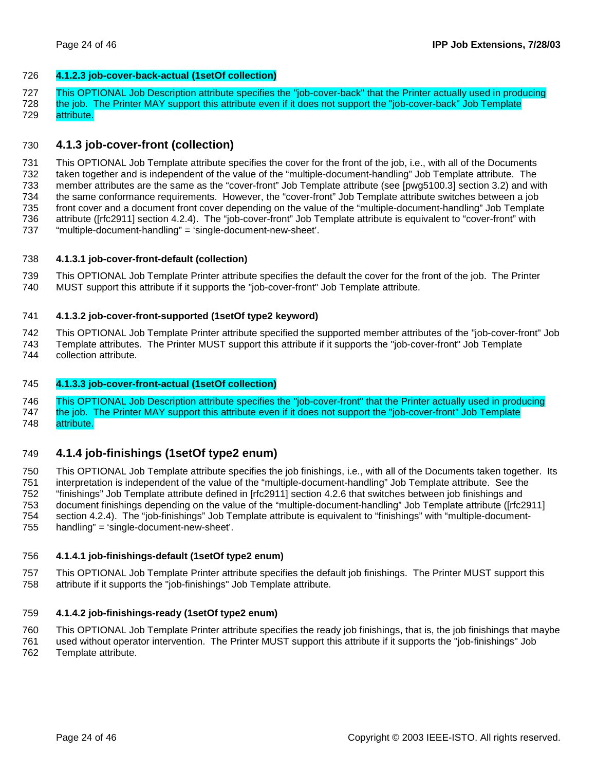#### 726 **4.1.2.3 job-cover-back-actual (1setOf collection)**

727 This OPTIONAL Job Description attribute specifies the "job-cover-back" that the Printer actually used in producing

728 the job. The Printer MAY support this attribute even if it does not support the "job-cover-back" Job Template 729 attribute.

### 730 **4.1.3 job-cover-front (collection)**

731 This OPTIONAL Job Template attribute specifies the cover for the front of the job, i.e., with all of the Documents 732 taken together and is independent of the value of the "multiple-document-handling" Job Template attribute. The 733 member attributes are the same as the "cover-front" Job Template attribute (see [pwg5100.3] section 3.2) and with 734 the same conformance requirements. However, the "cover-front" Job Template attribute switches between a job 735 front cover and a document front cover depending on the value of the "multiple-document-handling" Job Template 736 attribute ([rfc2911] section 4.2.4). The "job-cover-front" Job Template attribute is equivalent to "cover-front" with 737 "multiple-document-handling" = 'single-document-new-sheet'.

#### 738 **4.1.3.1 job-cover-front-default (collection)**

739 This OPTIONAL Job Template Printer attribute specifies the default the cover for the front of the job. The Printer 740 MUST support this attribute if it supports the "job-cover-front" Job Template attribute.

#### 741 **4.1.3.2 job-cover-front-supported (1setOf type2 keyword)**

742 This OPTIONAL Job Template Printer attribute specified the supported member attributes of the "job-cover-front" Job 743 Template attributes. The Printer MUST support this attribute if it supports the "job-cover-front" Job Template

744 collection attribute.

#### 745 **4.1.3.3 job-cover-front-actual (1setOf collection)**

746 This OPTIONAL Job Description attribute specifies the "job-cover-front" that the Printer actually used in producing 747 the job. The Printer MAY support this attribute even if it does not support the "job-cover-front" Job Template

748 attribute.

### 749 **4.1.4 job-finishings (1setOf type2 enum)**

750 This OPTIONAL Job Template attribute specifies the job finishings, i.e., with all of the Documents taken together. Its 751 interpretation is independent of the value of the "multiple-document-handling" Job Template attribute. See the 752 "finishings" Job Template attribute defined in [rfc2911] section 4.2.6 that switches between job finishings and 753 document finishings depending on the value of the "multiple-document-handling" Job Template attribute ([rfc2911] 754 section 4.2.4). The "job-finishings" Job Template attribute is equivalent to "finishings" with "multiple-document-755 handling" = 'single-document-new-sheet'.

#### 756 **4.1.4.1 job-finishings-default (1setOf type2 enum)**

757 This OPTIONAL Job Template Printer attribute specifies the default job finishings. The Printer MUST support this 758 attribute if it supports the "job-finishings" Job Template attribute.

#### 759 **4.1.4.2 job-finishings-ready (1setOf type2 enum)**

760 This OPTIONAL Job Template Printer attribute specifies the ready job finishings, that is, the job finishings that maybe 761 used without operator intervention. The Printer MUST support this attribute if it supports the "job-finishings" Job 762 Template attribute.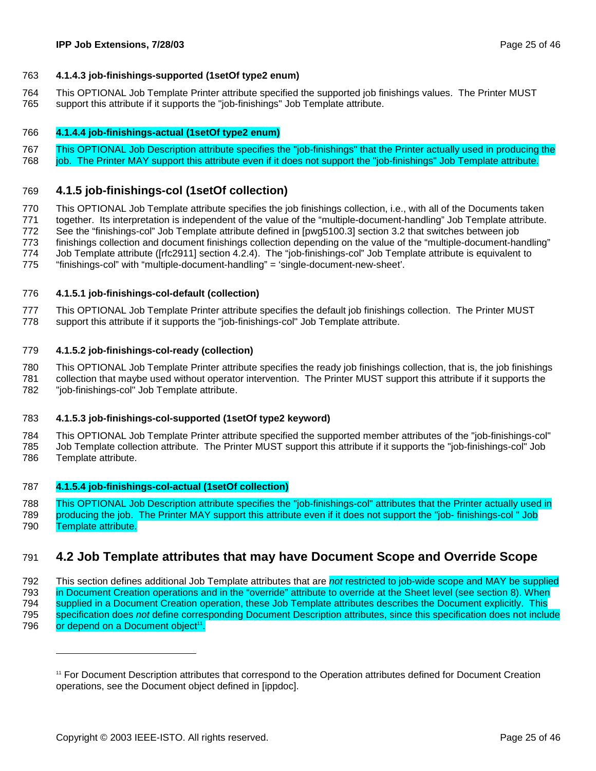#### 763 **4.1.4.3 job-finishings-supported (1setOf type2 enum)**

764 This OPTIONAL Job Template Printer attribute specified the supported job finishings values. The Printer MUST 765 support this attribute if it supports the "job-finishings" Job Template attribute.

#### 766 **4.1.4.4 job-finishings-actual (1setOf type2 enum)**

767 This OPTIONAL Job Description attribute specifies the "job-finishings" that the Printer actually used in producing the 768 job. The Printer MAY support this attribute even if it does not support the "job-finishings" Job Template attribute.

#### 769 **4.1.5 job-finishings-col (1setOf collection)**

770 This OPTIONAL Job Template attribute specifies the job finishings collection, i.e., with all of the Documents taken 771 together. Its interpretation is independent of the value of the "multiple-document-handling" Job Template attribute. 772 See the "finishings-col" Job Template attribute defined in [pwg5100.3] section 3.2 that switches between job 773 finishings collection and document finishings collection depending on the value of the "multiple-document-handling" 774 Job Template attribute ([rfc2911] section 4.2.4). The "job-finishings-col" Job Template attribute is equivalent to 775 "finishings-col" with "multiple-document-handling" = 'single-document-new-sheet'.

#### 776 **4.1.5.1 job-finishings-col-default (collection)**

777 This OPTIONAL Job Template Printer attribute specifies the default job finishings collection. The Printer MUST 778 support this attribute if it supports the "job-finishings-col" Job Template attribute.

#### 779 **4.1.5.2 job-finishings-col-ready (collection)**

780 This OPTIONAL Job Template Printer attribute specifies the ready job finishings collection, that is, the job finishings 781 collection that maybe used without operator intervention. The Printer MUST support this attribute if it supports the 782 "job-finishings-col" Job Template attribute.

#### 783 **4.1.5.3 job-finishings-col-supported (1setOf type2 keyword)**

784 This OPTIONAL Job Template Printer attribute specified the supported member attributes of the "job-finishings-col" 785 Job Template collection attribute. The Printer MUST support this attribute if it supports the "job-finishings-col" Job 786 Template attribute.

#### 787 **4.1.5.4 job-finishings-col-actual (1setOf collection)**

788 This OPTIONAL Job Description attribute specifies the "job-finishings-col" attributes that the Printer actually used in 789 producing the job. The Printer MAY support this attribute even if it does not support the "job- finishings-col " Job 790 Template attribute.

### 791 **4.2 Job Template attributes that may have Document Scope and Override Scope**

792 This section defines additional Job Template attributes that are *not* restricted to job-wide scope and MAY be supplied 793 in Document Creation operations and in the "override" attribute to override at the Sheet level (see section 8). When 794 supplied in a Document Creation operation, these Job Template attributes describes the Document explicitly. This 795 specification does *not* define corresponding Document Description attributes, since this specification does not include 796 or depend on a Document object<sup>11</sup>.

<sup>11</sup> For Document Description attributes that correspond to the Operation attributes defined for Document Creation operations, see the Document object defined in [ippdoc].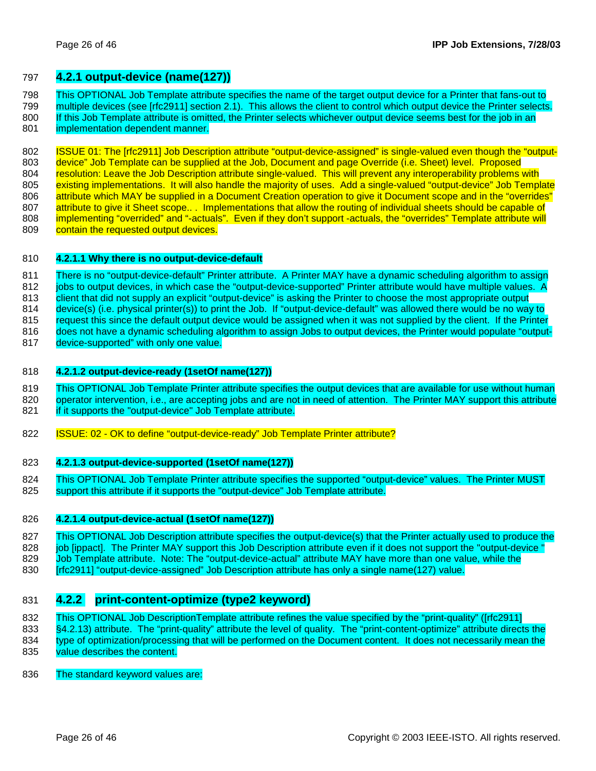#### 797 **4.2.1 output-device (name(127))**

798 This OPTIONAL Job Template attribute specifies the name of the target output device for a Printer that fans-out to 799 multiple devices (see [rfc2911] section 2.1). This allows the client to control which output device the Printer selects. 800 If this Job Template attribute is omitted, the Printer selects whichever output device seems best for the job in an

801 implementation dependent manner.

802 **ISSUE 01: The [rfc2911] Job Description attribute "output-device-assigned" is single-valued even though the "output-**803 device" Job Template can be supplied at the Job, Document and page Override (i.e. Sheet) level. Proposed 804 resolution: Leave the Job Description attribute single-valued. This will prevent any interoperability problems with 805 existing implementations. It will also handle the majority of uses. Add a single-valued "output-device" Job Template 806 attribute which MAY be supplied in a Document Creation operation to give it Document scope and in the "overrides" 807 attribute to give it Sheet scope... Implementations that allow the routing of individual sheets should be capable of 808 implementing "overrided" and "-actuals". Even if they don't support -actuals, the "overrides" Template attribute will 809 contain the requested output devices.

#### 810 **4.2.1.1 Why there is no output-device-default**

811 There is no "output-device-default" Printer attribute. A Printer MAY have a dynamic scheduling algorithm to assign 812 jobs to output devices, in which case the "output-device-supported" Printer attribute would have multiple values. A 813 client that did not supply an explicit "output-device" is asking the Printer to choose the most appropriate output 814 device(s) (i.e. physical printer(s)) to print the Job. If "output-device-default" was allowed there would be no way to 815 request this since the default output device would be assigned when it was not supplied by the client. If the Printer 816 does not have a dynamic scheduling algorithm to assign Jobs to output devices, the Printer would populate "output-

817 device-supported" with only one value.

#### 818 **4.2.1.2 output-device-ready (1setOf name(127))**

- 819 This OPTIONAL Job Template Printer attribute specifies the output devices that are available for use without human
- 820 operator intervention, i.e., are accepting jobs and are not in need of attention. The Printer MAY support this attribute 821 if it supports the "output-device" Job Template attribute.
- 822 **ISSUE: 02 OK to define "output-device-ready" Job Template Printer attribute?**

#### 823 **4.2.1.3 output-device-supported (1setOf name(127))**

824 This OPTIONAL Job Template Printer attribute specifies the supported "output-device" values. The Printer MUST 825 support this attribute if it supports the "output-device" Job Template attribute.

#### 826 **4.2.1.4 output-device-actual (1setOf name(127))**

827 This OPTIONAL Job Description attribute specifies the output-device(s) that the Printer actually used to produce the 828 job [ippact]. The Printer MAY support this Job Description attribute even if it does not support the "output-device" 829 Job Template attribute. Note: The "output-device-actual" attribute MAY have more than one value, while the 830 **Infc29111** "output-device-assigned" Job Description attribute has only a single name(127) value.

### 831 **4.2.2 print-content-optimize (type2 keyword)**

832 This OPTIONAL Job DescriptionTemplate attribute refines the value specified by the "print-quality" ([rfc2911]

833 §4.2.13) attribute. The "print-quality" attribute the level of quality. The "print-content-optimize" attribute directs the 834 type of optimization/processing that will be performed on the Document content. It does not necessarily mean the

835 value describes the content.

836 The standard keyword values are: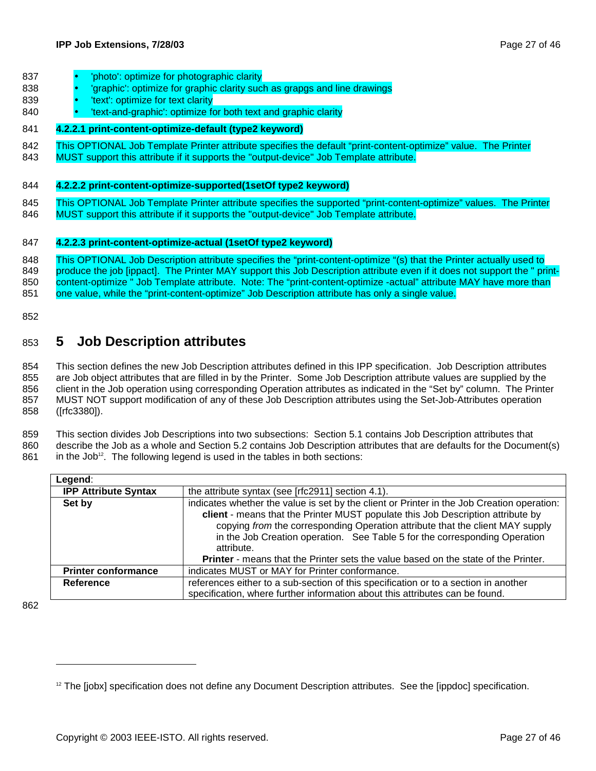- 837 'photo': optimize for photographic clarity
- 838 'graphic': optimize for graphic clarity such as grapgs and line drawings
- 839 'text': optimize for text clarity
- 840 'text-and-graphic': optimize for both text and graphic clarity

#### 841 **4.2.2.1 print-content-optimize-default (type2 keyword)**

- 842 This OPTIONAL Job Template Printer attribute specifies the default "print-content-optimize" value. The Printer
- 843 MUST support this attribute if it supports the "output-device" Job Template attribute.

#### 844 **4.2.2.2 print-content-optimize-supported(1setOf type2 keyword)**

- 845 This OPTIONAL Job Template Printer attribute specifies the supported "print-content-optimize" values. The Printer
- 846 MUST support this attribute if it supports the "output-device" Job Template attribute.

#### 847 **4.2.2.3 print-content-optimize-actual (1setOf type2 keyword)**

848 This OPTIONAL Job Description attribute specifies the "print-content-optimize "(s) that the Printer actually used to 849 produce the job [ippact]. The Printer MAY support this Job Description attribute even if it does not support the " print-850 content-optimize " Job Template attribute. Note: The "print-content-optimize -actual" attribute MAY have more than 851 one value, while the "print-content-optimize" Job Description attribute has only a single value.

852

### 853 **5 Job Description attributes**

854 This section defines the new Job Description attributes defined in this IPP specification. Job Description attributes 855 are Job object attributes that are filled in by the Printer. Some Job Description attribute values are supplied by the 856 client in the Job operation using corresponding Operation attributes as indicated in the "Set by" column. The Printer 857 MUST NOT support modification of any of these Job Description attributes using the Set-Job-Attributes operation 858 ([rfc3380]).

859 This section divides Job Descriptions into two subsections: Section 5.1 contains Job Description attributes that 860 describe the Job as a whole and Section 5.2 contains Job Description attributes that are defaults for the Document(s)  $861$  in the Job<sup>12</sup>. The following legend is used in the tables in both sections:

| Legend:                     |                                                                                                                                                                                                                                                                                                                                                                                                                                                         |
|-----------------------------|---------------------------------------------------------------------------------------------------------------------------------------------------------------------------------------------------------------------------------------------------------------------------------------------------------------------------------------------------------------------------------------------------------------------------------------------------------|
| <b>IPP Attribute Syntax</b> | the attribute syntax (see [rfc2911] section 4.1).                                                                                                                                                                                                                                                                                                                                                                                                       |
| Set by                      | indicates whether the value is set by the client or Printer in the Job Creation operation:<br>client - means that the Printer MUST populate this Job Description attribute by<br>copying from the corresponding Operation attribute that the client MAY supply<br>in the Job Creation operation. See Table 5 for the corresponding Operation<br>attribute.<br><b>Printer</b> - means that the Printer sets the value based on the state of the Printer. |
| <b>Printer conformance</b>  | indicates MUST or MAY for Printer conformance.                                                                                                                                                                                                                                                                                                                                                                                                          |
| Reference                   | references either to a sub-section of this specification or to a section in another                                                                                                                                                                                                                                                                                                                                                                     |
|                             | specification, where further information about this attributes can be found.                                                                                                                                                                                                                                                                                                                                                                            |

862

 $12$  The [jobx] specification does not define any Document Description attributes. See the [ippdoc] specification.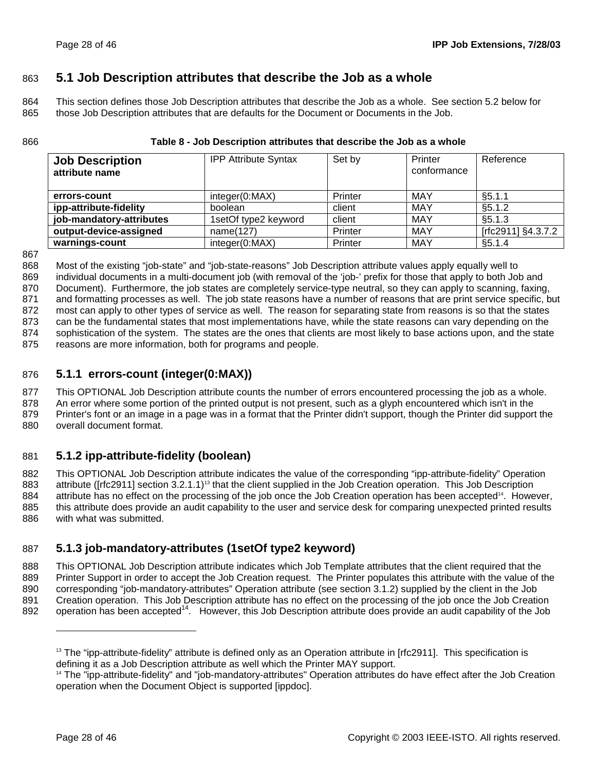### 863 **5.1 Job Description attributes that describe the Job as a whole**

864 This section defines those Job Description attributes that describe the Job as a whole. See section 5.2 below for 865 those Job Description attributes that are defaults for the Document or Documents in the Job.

| <b>Job Description</b><br>attribute name | <b>IPP Attribute Syntax</b> | Set by  | Printer<br>conformance | Reference          |
|------------------------------------------|-----------------------------|---------|------------------------|--------------------|
| errors-count                             | integer(0:MAX)              | Printer | MAY                    | §5.1.1             |
| ipp-attribute-fidelity                   | boolean                     | client  | MAY                    | \$5.1.2            |
| job-mandatory-attributes                 | 1setOf type2 keyword        | client  | MAY                    | §5.1.3             |
| output-device-assigned                   | name(127)                   | Printer | MAY                    | [rfc2911] §4.3.7.2 |
| warnings-count                           | integer(0:MAX)              | Printer | MAY                    | §5.1.4             |

#### 866 **Table 8 - Job Description attributes that describe the Job as a whole**

867

868 Most of the existing "job-state" and "job-state-reasons" Job Description attribute values apply equally well to 869 individual documents in a multi-document job (with removal of the 'job-' prefix for those that apply to both Job and 870 Document). Furthermore, the job states are completely service-type neutral, so they can apply to scanning, faxing, 871 and formatting processes as well. The job state reasons have a number of reasons that are print service specific, but 872 most can apply to other types of service as well. The reason for separating state from reasons is so that the states 873 can be the fundamental states that most implementations have, while the state reasons can vary depending on the 874 sophistication of the system. The states are the ones that clients are most likely to base actions upon, and the state 875 reasons are more information, both for programs and people.

### 876 **5.1.1 errors-count (integer(0:MAX))**

877 This OPTIONAL Job Description attribute counts the number of errors encountered processing the job as a whole.

878 An error where some portion of the printed output is not present, such as a glyph encountered which isn't in the

879 Printer's font or an image in a page was in a format that the Printer didn't support, though the Printer did support the 880 overall document format.

### 881 **5.1.2 ipp-attribute-fidelity (boolean)**

882 This OPTIONAL Job Description attribute indicates the value of the corresponding "ipp-attribute-fidelity" Operation 883 attribute ([rfc2911] section 3.2.1.1)<sup>13</sup> that the client supplied in the Job Creation operation. This Job Description 884 attribute has no effect on the processing of the job once the Job Creation operation has been accepted<sup>14</sup>. However, 885 this attribute does provide an audit capability to the user and service desk for comparing unexpected printed results 886 with what was submitted.

### 887 **5.1.3 job-mandatory-attributes (1setOf type2 keyword)**

888 This OPTIONAL Job Description attribute indicates which Job Template attributes that the client required that the 889 Printer Support in order to accept the Job Creation request. The Printer populates this attribute with the value of the 890 corresponding "job-mandatory-attributes" Operation attribute (see section 3.1.2) supplied by the client in the Job 891 Creation operation. This Job Description attribute has no effect on the processing of the job once the Job Creation 892 operation has been accepted<sup>14</sup>. However, this Job Description attribute does provide an audit capability of the Job

<sup>&</sup>lt;sup>13</sup> The "ipp-attribute-fidelity" attribute is defined only as an Operation attribute in [rfc2911]. This specification is defining it as a Job Description attribute as well which the Printer MAY support.

<sup>14</sup> The "ipp-attribute-fidelity" and "job-mandatory-attributes" Operation attributes do have effect after the Job Creation operation when the Document Object is supported [ippdoc].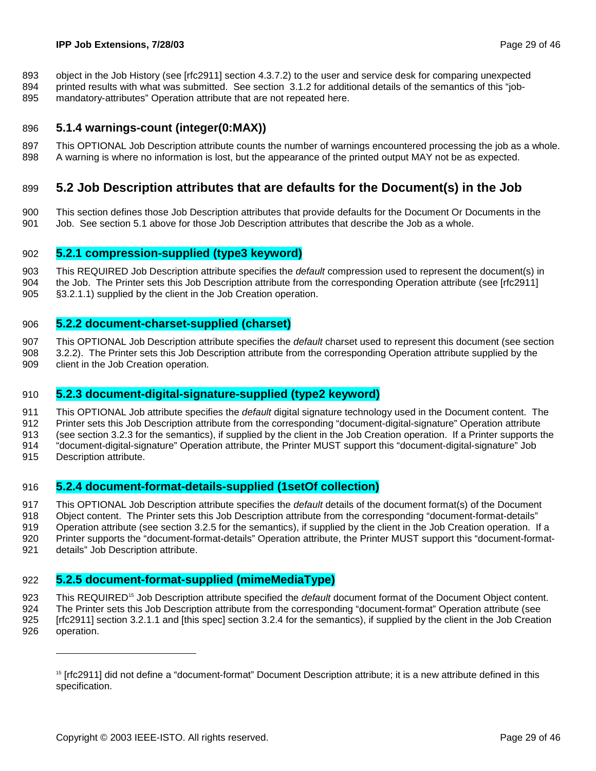893 object in the Job History (see [rfc2911] section 4.3.7.2) to the user and service desk for comparing unexpected

894 printed results with what was submitted. See section 3.1.2 for additional details of the semantics of this "job-895 mandatory-attributes" Operation attribute that are not repeated here.

#### 896 **5.1.4 warnings-count (integer(0:MAX))**

897 This OPTIONAL Job Description attribute counts the number of warnings encountered processing the job as a whole. 898 A warning is where no information is lost, but the appearance of the printed output MAY not be as expected.

### 899 **5.2 Job Description attributes that are defaults for the Document(s) in the Job**

900 This section defines those Job Description attributes that provide defaults for the Document Or Documents in the 901 Job. See section 5.1 above for those Job Description attributes that describe the Job as a whole.

#### 902 **5.2.1 compression-supplied (type3 keyword)**

903 This REQUIRED Job Description attribute specifies the *default* compression used to represent the document(s) in 904 the Job. The Printer sets this Job Description attribute from the corresponding Operation attribute (see [rfc2911] 905 §3.2.1.1) supplied by the client in the Job Creation operation.

#### 906 **5.2.2 document-charset-supplied (charset)**

907 This OPTIONAL Job Description attribute specifies the *default* charset used to represent this document (see section 908 3.2.2). The Printer sets this Job Description attribute from the corresponding Operation attribute supplied by the 909 client in the Job Creation operation.

#### 910 **5.2.3 document-digital-signature-supplied (type2 keyword)**

911 This OPTIONAL Job attribute specifies the *default* digital signature technology used in the Document content. The

912 Printer sets this Job Description attribute from the corresponding "document-digital-signature" Operation attribute

913 (see section 3.2.3 for the semantics), if supplied by the client in the Job Creation operation. If a Printer supports the

- 914 "document-digital-signature" Operation attribute, the Printer MUST support this "document-digital-signature" Job
- 915 Description attribute.

-

### 916 **5.2.4 document-format-details-supplied (1setOf collection)**

917 This OPTIONAL Job Description attribute specifies the *default* details of the document format(s) of the Document

918 Object content. The Printer sets this Job Description attribute from the corresponding "document-format-details"

- 919 Operation attribute (see section 3.2.5 for the semantics), if supplied by the client in the Job Creation operation. If a
- 920 Printer supports the "document-format-details" Operation attribute, the Printer MUST support this "document-format-
- 921 details" Job Description attribute.

### 922 **5.2.5 document-format-supplied (mimeMediaType)**

923 This REQUIRED<sup>15</sup> Job Description attribute specified the *default* document format of the Document Object content.

924 The Printer sets this Job Description attribute from the corresponding "document-format" Operation attribute (see

925 [rfc2911] section 3.2.1.1 and [this spec] section 3.2.4 for the semantics), if supplied by the client in the Job Creation 926 operation.

<sup>&</sup>lt;sup>15</sup> [rfc2911] did not define a "document-format" Document Description attribute; it is a new attribute defined in this specification.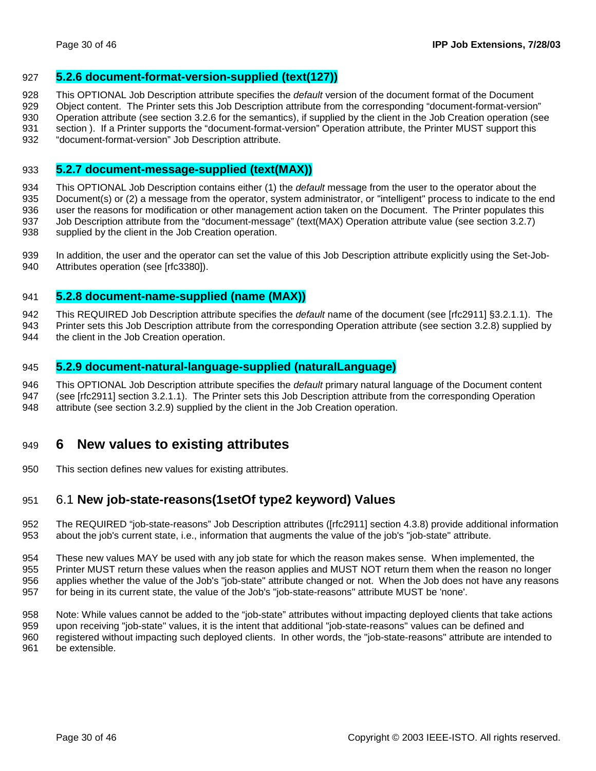#### 927 **5.2.6 document-format-version-supplied (text(127))**

928 This OPTIONAL Job Description attribute specifies the *default* version of the document format of the Document

929 Object content. The Printer sets this Job Description attribute from the corresponding "document-format-version"

930 Operation attribute (see section 3.2.6 for the semantics), if supplied by the client in the Job Creation operation (see 931 section ). If a Printer supports the "document-format-version" Operation attribute, the Printer MUST support this

932 "document-format-version" Job Description attribute.

#### 933 **5.2.7 document-message-supplied (text(MAX))**

934 This OPTIONAL Job Description contains either (1) the *default* message from the user to the operator about the 935 Document(s) or (2) a message from the operator, system administrator, or "intelligent" process to indicate to the end 936 user the reasons for modification or other management action taken on the Document. The Printer populates this 937 Job Description attribute from the "document-message" (text(MAX) Operation attribute value (see section 3.2.7) 938 supplied by the client in the Job Creation operation.

939 In addition, the user and the operator can set the value of this Job Description attribute explicitly using the Set-Job-940 Attributes operation (see [rfc3380]).

### 941 **5.2.8 document-name-supplied (name (MAX))**

942 This REQUIRED Job Description attribute specifies the *default* name of the document (see [rfc2911] §3.2.1.1). The

943 Printer sets this Job Description attribute from the corresponding Operation attribute (see section 3.2.8) supplied by

944 the client in the Job Creation operation.

#### 945 **5.2.9 document-natural-language-supplied (naturalLanguage)**

946 This OPTIONAL Job Description attribute specifies the *default* primary natural language of the Document content 947 (see [rfc2911] section 3.2.1.1). The Printer sets this Job Description attribute from the corresponding Operation 948 attribute (see section 3.2.9) supplied by the client in the Job Creation operation.

### 949 **6 New values to existing attributes**

950 This section defines new values for existing attributes.

### 951 6.1 **New job-state-reasons(1setOf type2 keyword) Values**

952 The REQUIRED "job-state-reasons" Job Description attributes ([rfc2911] section 4.3.8) provide additional information 953 about the job's current state, i.e., information that augments the value of the job's "job-state" attribute.

954 These new values MAY be used with any job state for which the reason makes sense. When implemented, the 955 Printer MUST return these values when the reason applies and MUST NOT return them when the reason no longer 956 applies whether the value of the Job's "job-state" attribute changed or not. When the Job does not have any reasons 957 for being in its current state, the value of the Job's "job-state-reasons" attribute MUST be 'none'.

958 Note: While values cannot be added to the "job-state" attributes without impacting deployed clients that take actions 959 upon receiving "job-state" values, it is the intent that additional "job-state-reasons" values can be defined and 960 registered without impacting such deployed clients. In other words, the "job-state-reasons" attribute are intended to 961 be extensible.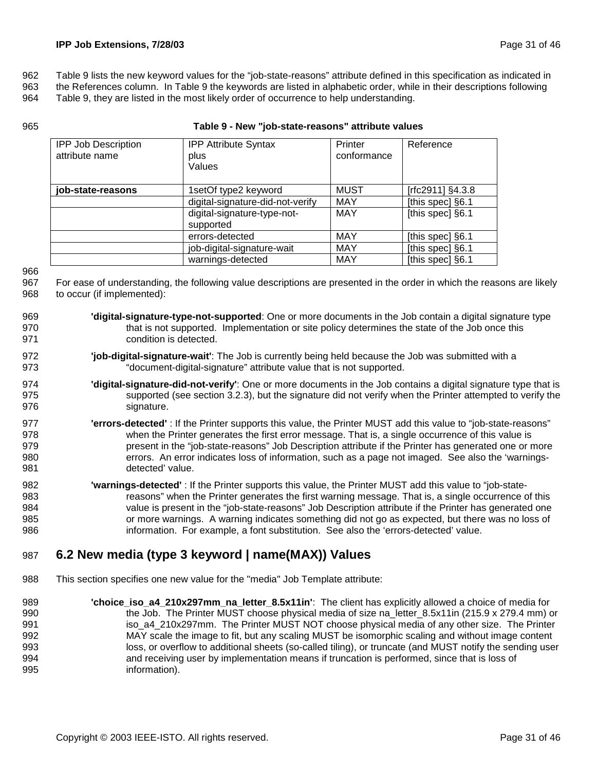962 Table 9 lists the new keyword values for the "job-state-reasons" attribute defined in this specification as indicated in

963 the References column. In Table 9 the keywords are listed in alphabetic order, while in their descriptions following

964 Table 9, they are listed in the most likely order of occurrence to help understanding.

| <b>IPP Job Description</b><br>attribute name | <b>IPP Attribute Syntax</b><br>plus<br>Values | Printer<br>conformance | Reference        |
|----------------------------------------------|-----------------------------------------------|------------------------|------------------|
| job-state-reasons                            | 1setOf type2 keyword                          | MUST                   | [rfc2911] §4.3.8 |
|                                              | digital-signature-did-not-verify              | <b>MAY</b>             | [this spec] §6.1 |
|                                              | digital-signature-type-not-<br>supported      | <b>MAY</b>             | [this spec] §6.1 |
|                                              | errors-detected                               | <b>MAY</b>             | [this spec] §6.1 |
|                                              | job-digital-signature-wait                    | <b>MAY</b>             | [this spec] §6.1 |
|                                              | warnings-detected                             | <b>MAY</b>             | [this spec] §6.1 |

#### 965 **Table 9 - New "job-state-reasons" attribute values**

966

| 967 For ease of understanding, the following value descriptions are presented in the order in which the reasons are likely |
|----------------------------------------------------------------------------------------------------------------------------|
| 968 to occur (if implemented):                                                                                             |

- 969 **'digital-signature-type-not-supported**: One or more documents in the Job contain a digital signature type 970 that is not supported. Implementation or site policy determines the state of the Job once this 971 condition is detected.
- 972 **'job-digital-signature-wait'**: The Job is currently being held because the Job was submitted with a 973 "document-digital-signature" attribute value that is not supported.
- 974 **'digital-signature-did-not-verify'**: One or more documents in the Job contains a digital signature type that is 975 supported (see section 3.2.3), but the signature did not verify when the Printer attempted to verify the 976 signature.
- 977 **'errors-detected'** : If the Printer supports this value, the Printer MUST add this value to "job-state-reasons" 978 when the Printer generates the first error message. That is, a single occurrence of this value is 979 **present in the "job-state-reasons"** Job Description attribute if the Printer has generated one or more 980 errors. An error indicates loss of information, such as a page not imaged. See also the 'warnings-981 detected' value.
- 982 **'warnings-detected'** : If the Printer supports this value, the Printer MUST add this value to "job-state-983 reasons" when the Printer generates the first warning message. That is, a single occurrence of this 984 value is present in the "job-state-reasons" Job Description attribute if the Printer has generated one 985 or more warnings. A warning indicates something did not go as expected, but there was no loss of 986 information. For example, a font substitution. See also the 'errors-detected' value.

### 987 **6.2 New media (type 3 keyword | name(MAX)) Values**

- 988 This section specifies one new value for the "media" Job Template attribute:
- 989 **'choice\_iso\_a4\_210x297mm\_na\_letter\_8.5x11in'**: The client has explicitly allowed a choice of media for 990 the Job. The Printer MUST choose physical media of size na letter 8.5x11in (215.9 x 279.4 mm) or 991 iso\_a4\_210x297mm. The Printer MUST NOT choose physical media of any other size. The Printer 992 MAY scale the image to fit, but any scaling MUST be isomorphic scaling and without image content 993 loss, or overflow to additional sheets (so-called tiling), or truncate (and MUST notify the sending user 994 and receiving user by implementation means if truncation is performed, since that is loss of 995 information).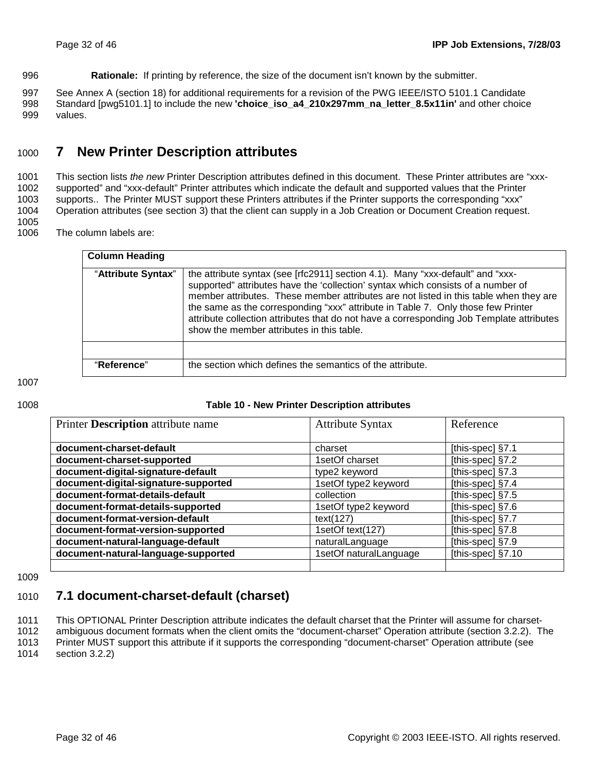996 **Rationale:** If printing by reference, the size of the document isn't known by the submitter.

997 See Annex A (section 18) for additional requirements for a revision of the PWG IEEE/ISTO 5101.1 Candidate 998 Standard [pwg5101.1] to include the new **'choice iso a4 210x297mm na letter 8.5x11in'** and other choice 999 values.

### 1000 **7 New Printer Description attributes**

1001 This section lists *the new* Printer Description attributes defined in this document. These Printer attributes are "xxx-1002 supported" and "xxx-default" Printer attributes which indicate the default and supported values that the Printer 1003 supports.. The Printer MUST support these Printers attributes if the Printer supports the corresponding "xxx" 1004 Operation attributes (see section 3) that the client can supply in a Job Creation or Document Creation request. 1005

1006 The column labels are:

| <b>Column Heading</b> |                                                                                                                                                                                                                                                                                                                                                                                                                                                                                          |
|-----------------------|------------------------------------------------------------------------------------------------------------------------------------------------------------------------------------------------------------------------------------------------------------------------------------------------------------------------------------------------------------------------------------------------------------------------------------------------------------------------------------------|
| "Attribute Syntax"    | the attribute syntax (see [rfc2911] section 4.1). Many "xxx-default" and "xxx-<br>supported" attributes have the 'collection' syntax which consists of a number of<br>member attributes. These member attributes are not listed in this table when they are<br>the same as the corresponding "xxx" attribute in Table 7. Only those few Printer<br>attribute collection attributes that do not have a corresponding Job Template attributes<br>show the member attributes in this table. |
|                       |                                                                                                                                                                                                                                                                                                                                                                                                                                                                                          |
| "Reference"           | the section which defines the semantics of the attribute.                                                                                                                                                                                                                                                                                                                                                                                                                                |

1007

#### 1008 **Table 10 - New Printer Description attributes**

| Printer Description attribute name   | <b>Attribute Syntax</b> | Reference          |
|--------------------------------------|-------------------------|--------------------|
|                                      |                         |                    |
| document-charset-default             | charset                 | [this-spec] §7.1   |
| document-charset-supported           | 1setOf charset          | [this-spec] §7.2   |
| document-digital-signature-default   | type2 keyword           | [this-spec] §7.3   |
| document-digital-signature-supported | 1setOf type2 keyword    | [this-spec] §7.4   |
| document-format-details-default      | collection              | [this-spec] $§7.5$ |
| document-format-details-supported    | 1setOf type2 keyword    | [this-spec] $§7.6$ |
| document-format-version-default      | text(127)               | [this-spec] §7.7   |
| document-format-version-supported    | 1setOf text(127)        | [this-spec] §7.8   |
| document-natural-language-default    | naturalLanguage         | [this-spec] §7.9   |
| document-natural-language-supported  | 1setOf naturalLanguage  | [this-spec] §7.10  |
|                                      |                         |                    |

1009

### 1010 **7.1 document-charset-default (charset)**

1011 This OPTIONAL Printer Description attribute indicates the default charset that the Printer will assume for charset-1012 ambiguous document formats when the client omits the "document-charset" Operation attribute (section 3.2.2). The

1013 Printer MUST support this attribute if it supports the corresponding "document-charset" Operation attribute (see

1014 section 3.2.2)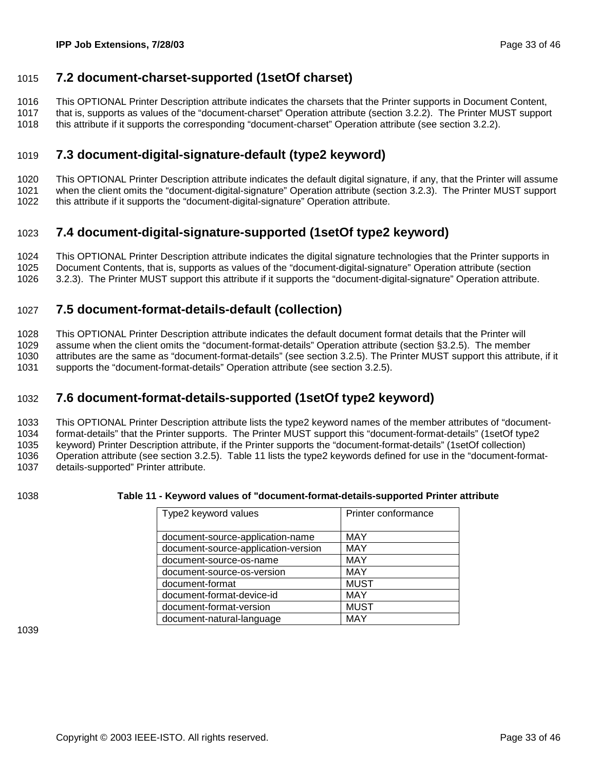### 1015 **7.2 document-charset-supported (1setOf charset)**

1016 This OPTIONAL Printer Description attribute indicates the charsets that the Printer supports in Document Content,

1017 that is, supports as values of the "document-charset" Operation attribute (section 3.2.2). The Printer MUST support

1018 this attribute if it supports the corresponding "document-charset" Operation attribute (see section 3.2.2).

### 1019 **7.3 document-digital-signature-default (type2 keyword)**

1020 This OPTIONAL Printer Description attribute indicates the default digital signature, if any, that the Printer will assume 1021 when the client omits the "document-digital-signature" Operation attribute (section 3.2.3). The Printer MUST support 1022 this attribute if it supports the "document-digital-signature" Operation attribute.

### 1023 **7.4 document-digital-signature-supported (1setOf type2 keyword)**

1024 This OPTIONAL Printer Description attribute indicates the digital signature technologies that the Printer supports in 1025 Document Contents, that is, supports as values of the "document-digital-signature" Operation attribute (section

1026 3.2.3). The Printer MUST support this attribute if it supports the "document-digital-signature" Operation attribute.

### 1027 **7.5 document-format-details-default (collection)**

1028 This OPTIONAL Printer Description attribute indicates the default document format details that the Printer will

1029 assume when the client omits the "document-format-details" Operation attribute (section §3.2.5). The member 1030 attributes are the same as "document-format-details" (see section 3.2.5). The Printer MUST support this attribute, if it

1031 supports the "document-format-details" Operation attribute (see section 3.2.5).

### 1032 **7.6 document-format-details-supported (1setOf type2 keyword)**

1033 This OPTIONAL Printer Description attribute lists the type2 keyword names of the member attributes of "document-1034 format-details" that the Printer supports. The Printer MUST support this "document-format-details" (1setOf type2 1035 keyword) Printer Description attribute, if the Printer supports the "document-format-details" (1setOf collection) 1036 Operation attribute (see section 3.2.5). Table 11 lists the type2 keywords defined for use in the "document-format-1037 details-supported" Printer attribute.

#### 1038 **Table 11 - Keyword values of "document-format-details-supported Printer attribute**

| Type2 keyword values                | Printer conformance |
|-------------------------------------|---------------------|
| document-source-application-name    | <b>MAY</b>          |
| document-source-application-version | <b>MAY</b>          |
| document-source-os-name             | <b>MAY</b>          |
| document-source-os-version          | <b>MAY</b>          |
| document-format                     | <b>MUST</b>         |
| document-format-device-id           | <b>MAY</b>          |
| document-format-version             | <b>MUST</b>         |
| document-natural-language           | MAY                 |

1039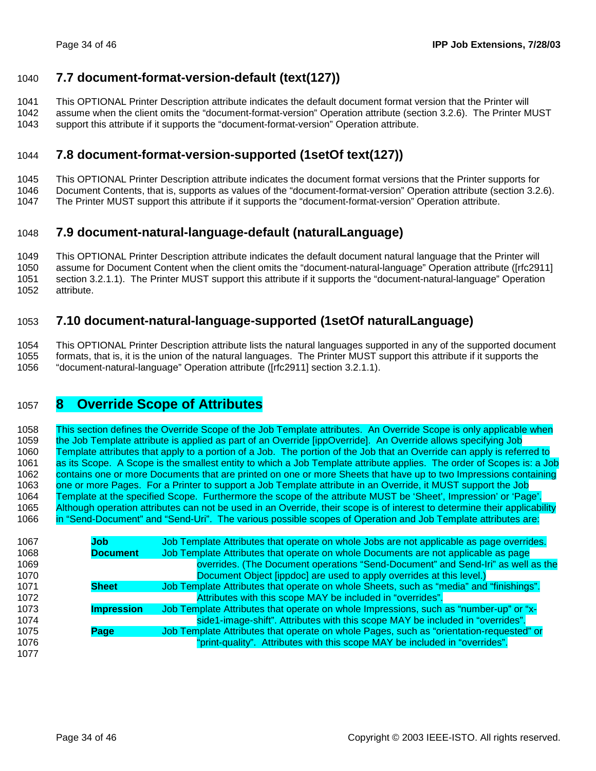### 1040 **7.7 document-format-version-default (text(127))**

1041 This OPTIONAL Printer Description attribute indicates the default document format version that the Printer will

- 1042 assume when the client omits the "document-format-version" Operation attribute (section 3.2.6). The Printer MUST
- 1043 support this attribute if it supports the "document-format-version" Operation attribute.

### 1044 **7.8 document-format-version-supported (1setOf text(127))**

- 1045 This OPTIONAL Printer Description attribute indicates the document format versions that the Printer supports for
- 1046 Document Contents, that is, supports as values of the "document-format-version" Operation attribute (section 3.2.6).
- 1047 The Printer MUST support this attribute if it supports the "document-format-version" Operation attribute.

### 1048 **7.9 document-natural-language-default (naturalLanguage)**

1049 This OPTIONAL Printer Description attribute indicates the default document natural language that the Printer will 1050 assume for Document Content when the client omits the "document-natural-language" Operation attribute ([rfc2911] 1051 section 3.2.1.1). The Printer MUST support this attribute if it supports the "document-natural-language" Operation 1052 attribute.

### 1053 **7.10 document-natural-language-supported (1setOf naturalLanguage)**

1054 This OPTIONAL Printer Description attribute lists the natural languages supported in any of the supported document 1055 formats, that is, it is the union of the natural languages. The Printer MUST support this attribute if it supports the 1056 "document-natural-language" Operation attribute ([rfc2911] section 3.2.1.1).

### 1057 **8 Override Scope of Attributes**

1058 This section defines the Override Scope of the Job Template attributes. An Override Scope is only applicable when 1059 the Job Template attribute is applied as part of an Override [ippOverride]. An Override allows specifying Job 1060 Template attributes that apply to a portion of a Job. The portion of the Job that an Override can apply is referred to 1061 as its Scope. A Scope is the smallest entity to which a Job Template attribute applies. The order of Scopes is: a Job 1062 contains one or more Documents that are printed on one or more Sheets that have up to two Impressions containing 1063 one or more Pages. For a Printer to support a Job Template attribute in an Override, it MUST support the Job 1064 Template at the specified Scope. Furthermore the scope of the attribute MUST be 'Sheet', Impression' or 'Page'. 1065 Although operation attributes can not be used in an Override, their scope is of interest to determine their applicability 1066 in "Send-Document" and "Send-Uri". The various possible scopes of Operation and Job Template attributes are:

| 1067 | Job               | Job Template Attributes that operate on whole Jobs are not applicable as page overrides. |
|------|-------------------|------------------------------------------------------------------------------------------|
| 1068 | <b>Document</b>   | Job Template Attributes that operate on whole Documents are not applicable as page       |
| 1069 |                   | overrides. (The Document operations "Send-Document" and Send-Iri" as well as the         |
| 1070 |                   | Document Object [ippdoc] are used to apply overrides at this level.)                     |
| 1071 | <b>Sheet</b>      | Job Template Attributes that operate on whole Sheets, such as "media" and "finishings".  |
| 1072 |                   | Attributes with this scope MAY be included in "overrides".                               |
| 1073 | <b>Impression</b> | Job Template Attributes that operate on whole Impressions, such as "number-up" or "x-    |
| 1074 |                   | side1-image-shift". Attributes with this scope MAY be included in "overrides".           |
| 1075 | Page              | Job Template Attributes that operate on whole Pages, such as "orientation-requested" or  |
| 1076 |                   | "print-quality". Attributes with this scope MAY be included in "overrides".              |
| 1077 |                   |                                                                                          |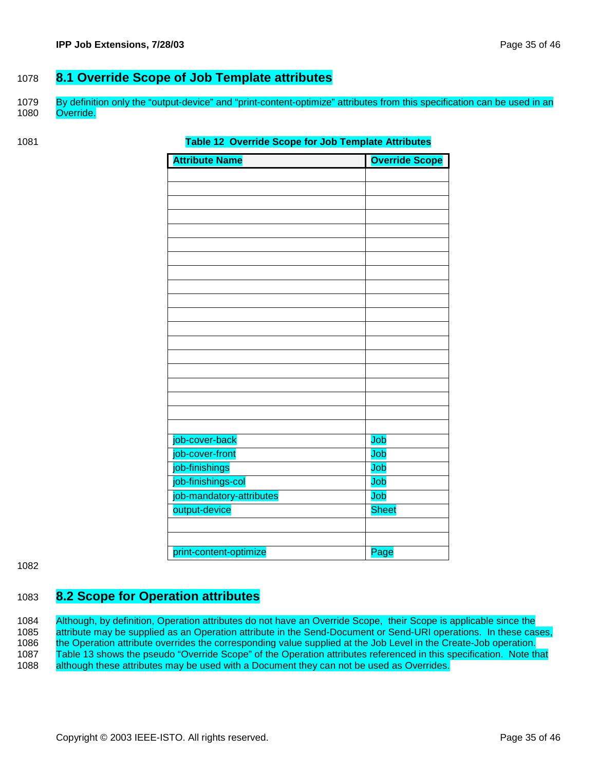### 1078 **8.1 Override Scope of Job Template attributes**

1079 By definition only the "output-device" and "print-content-optimize" attributes from this specification can be used in an 1080 Override.

#### **Table 12 Override Scope for Job Template Attributes**

| <b>Attribute Name</b>    | <b>Override Scope</b> |
|--------------------------|-----------------------|
|                          |                       |
|                          |                       |
|                          |                       |
|                          |                       |
|                          |                       |
|                          |                       |
|                          |                       |
|                          |                       |
|                          |                       |
|                          |                       |
|                          |                       |
|                          |                       |
|                          |                       |
|                          |                       |
|                          |                       |
|                          |                       |
|                          |                       |
|                          |                       |
|                          |                       |
| job-cover-back           | Job                   |
| job-cover-front          | Job                   |
| job-finishings           | Job                   |
| job-finishings-col       | Job                   |
| job-mandatory-attributes | Job                   |
| output-device            | <b>Sheet</b>          |
|                          |                       |
|                          |                       |
| print-content-optimize   | Page                  |

#### 1082

### 1083 **8.2 Scope for Operation attributes**

1084 Although, by definition, Operation attributes do not have an Override Scope, their Scope is applicable since the 1085 attribute may be supplied as an Operation attribute in the Send-Document or Send-URI operations. In these cases, 1086 the Operation attribute overrides the corresponding value supplied at the Job Level in the Create-Job operation. 1087 Table 13 shows the pseudo "Override Scope" of the Operation attributes referenced in this specification. Note that 1088 although these attributes may be used with a Document they can not be used as Overrides.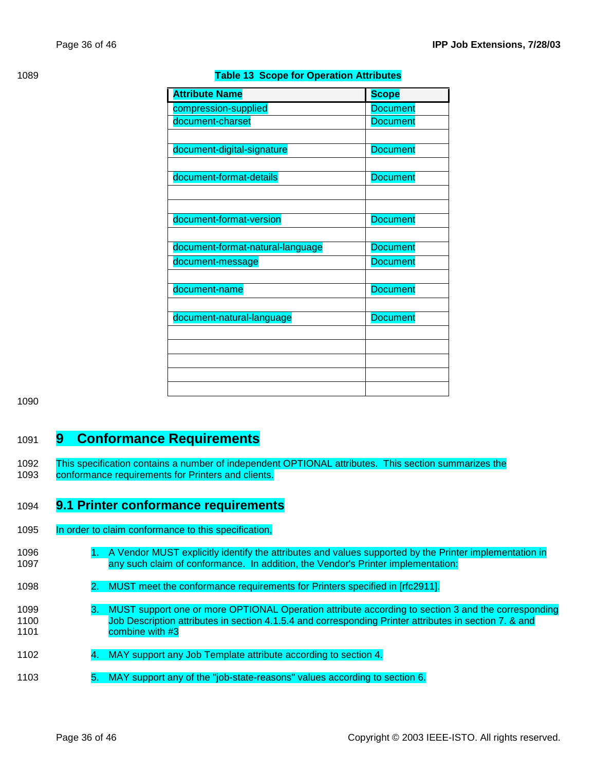| <b>Attribute Name</b>            | <b>Scope</b>    |
|----------------------------------|-----------------|
| compression-supplied             | <b>Document</b> |
| document-charset                 | <b>Document</b> |
|                                  |                 |
| document-digital-signature       | <b>Document</b> |
|                                  |                 |
| document-format-details          | <b>Document</b> |
|                                  |                 |
|                                  |                 |
| document-format-version          | <b>Document</b> |
|                                  |                 |
| document-format-natural-language | <b>Document</b> |
| document-message                 | <b>Document</b> |
|                                  |                 |
| document-name                    | <b>Document</b> |
|                                  |                 |
| document-natural-language        | <b>Document</b> |
|                                  |                 |
|                                  |                 |
|                                  |                 |
|                                  |                 |
|                                  |                 |

#### **Table 13 Scope for Operation Attributes**

1090

### 1091 **9 Conformance Requirements**

1092 This specification contains a number of independent OPTIONAL attributes. This section summarizes the 1093 conformance requirements for Printers and clients.

### 1094 **9.1 Printer conformance requirements**

- 1095 In order to claim conformance to this specification,
- 1096 1. A Vendor MUST explicitly identify the attributes and values supported by the Printer implementation in 1097 any such claim of conformance. In addition, the Vendor's Printer implementation:
- 1098 2. MUST meet the conformance requirements for Printers specified in [rfc2911].
- 1099 3. MUST support one or more OPTIONAL Operation attribute according to section 3 and the corresponding 1100 Job Description attributes in section 4.1.5.4 and corresponding Printer attributes in section 7. & and 1101 combine with #3
- 1102 4. MAY support any Job Template attribute according to section 4.
- 1103 5. MAY support any of the "job-state-reasons" values according to section 6.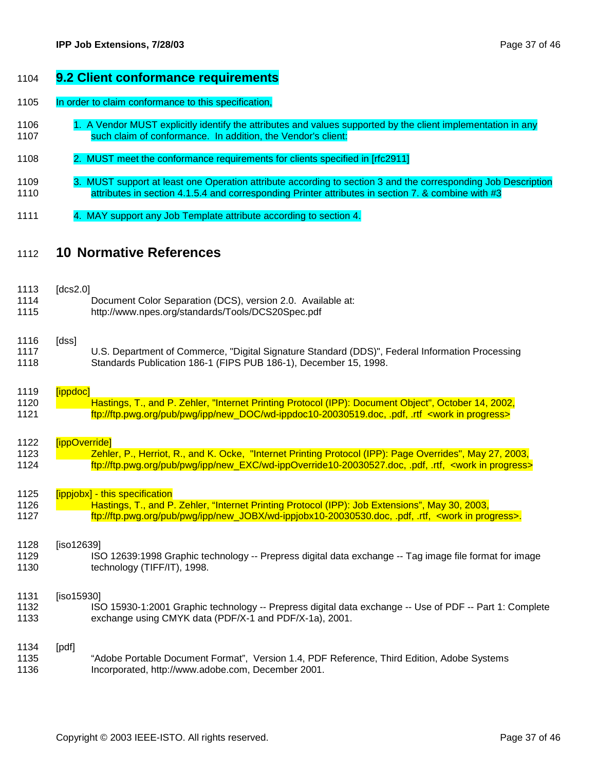#### 1104 **9.2 Client conformance requirements**

1105 In order to claim conformance to this specification,

- 1106 1. A Vendor MUST explicitly identify the attributes and values supported by the client implementation in any 1107 such claim of conformance. In addition, the Vendor's client:
- 1108 2. MUST meet the conformance requirements for clients specified in [rfc2911]
- 1109 3. MUST support at least one Operation attribute according to section 3 and the corresponding Job Description 1110 **attributes in section 4.1.5.4 and corresponding Printer attributes in section 7. & combine with #3**
- 1111 4. MAY support any Job Template attribute according to section 4.

### 1112 **10 Normative References**

| 1113<br>1114<br>1115 | [ $dcs2.0$ ]  | Document Color Separation (DCS), version 2.0. Available at:<br>http://www.npes.org/standards/Tools/DCS20Spec.pdf                                                                                                                                   |
|----------------------|---------------|----------------------------------------------------------------------------------------------------------------------------------------------------------------------------------------------------------------------------------------------------|
| 1116<br>1117<br>1118 | [dss]         | U.S. Department of Commerce, "Digital Signature Standard (DDS)", Federal Information Processing<br>Standards Publication 186-1 (FIPS PUB 186-1), December 15, 1998.                                                                                |
| 1119                 | [ippdoc]      |                                                                                                                                                                                                                                                    |
| 1120<br>1121         |               | Hastings, T., and P. Zehler, "Internet Printing Protocol (IPP): Document Object", October 14, 2002,<br>ftp://ftp.pwg.org/pub/pwg/ipp/new_DOC/wd-ippdoc10-20030519.doc, .pdf, .rtf <work in="" progress=""></work>                                  |
| 1122                 | [ippOverride] |                                                                                                                                                                                                                                                    |
| 1123<br>1124         |               | Zehler, P., Herriot, R., and K. Ocke, "Internet Printing Protocol (IPP): Page Overrides", May 27, 2003,<br>ftp://ftp.pwg.org/pub/pwg/ipp/new_EXC/wd-ippOverride10-20030527.doc, .pdf, .rtf, <work in="" progress=""></work>                        |
| 1125<br>1126<br>1127 |               | [ippjobx] - this specification<br>Hastings, T., and P. Zehler, "Internet Printing Protocol (IPP): Job Extensions", May 30, 2003,<br>ftp://ftp.pwg.org/pub/pwg/ipp/new_JOBX/wd-ippjobx10-20030530.doc, .pdf, .rtf, <work in="" progress="">.</work> |
| 1128<br>1129<br>1130 | [iso12639]    | ISO 12639:1998 Graphic technology -- Prepress digital data exchange -- Tag image file format for image<br>technology (TIFF/IT), 1998.                                                                                                              |
| 1131<br>1132<br>1133 | [iso15930]    | ISO 15930-1:2001 Graphic technology -- Prepress digital data exchange -- Use of PDF -- Part 1: Complete<br>exchange using CMYK data (PDF/X-1 and PDF/X-1a), 2001.                                                                                  |
| 1134<br>1135<br>1136 | [pdf]         | "Adobe Portable Document Format", Version 1.4, PDF Reference, Third Edition, Adobe Systems<br>Incorporated, http://www.adobe.com, December 2001.                                                                                                   |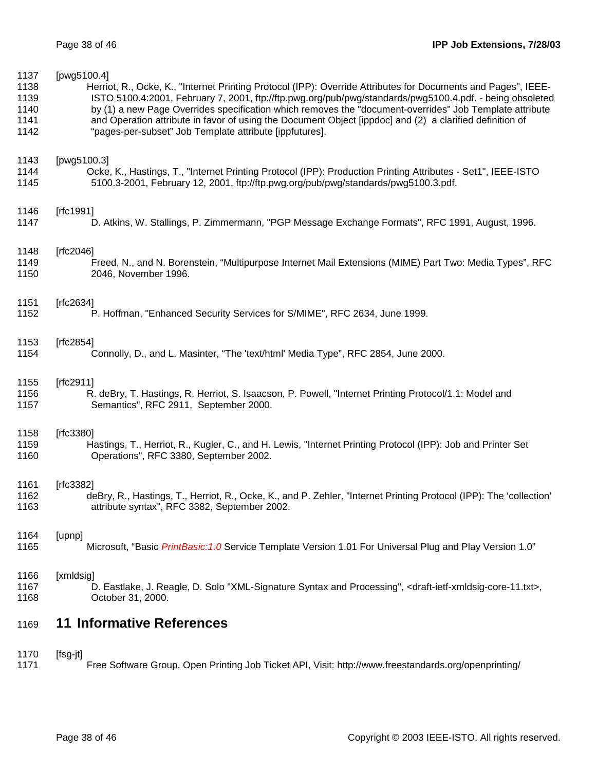| 1137 | [pwg5100.4]                                                                                                                               |
|------|-------------------------------------------------------------------------------------------------------------------------------------------|
| 1138 | Herriot, R., Ocke, K., "Internet Printing Protocol (IPP): Override Attributes for Documents and Pages", IEEE-                             |
| 1139 | ISTO 5100.4:2001, February 7, 2001, ftp://ftp.pwg.org/pub/pwg/standards/pwg5100.4.pdf. - being obsoleted                                  |
| 1140 | by (1) a new Page Overrides specification which removes the "document-overrides" Job Template attribute                                   |
| 1141 | and Operation attribute in favor of using the Document Object [ippdoc] and (2) a clarified definition of                                  |
| 1142 | "pages-per-subset" Job Template attribute [ippfutures].                                                                                   |
| 1143 | [pwg5100.3]                                                                                                                               |
| 1144 | Ocke, K., Hastings, T., "Internet Printing Protocol (IPP): Production Printing Attributes - Set1", IEEE-ISTO                              |
| 1145 | 5100.3-2001, February 12, 2001, ftp://ftp.pwg.org/pub/pwg/standards/pwg5100.3.pdf.                                                        |
| 1146 | [ $rfc1991$ ]                                                                                                                             |
| 1147 | D. Atkins, W. Stallings, P. Zimmermann, "PGP Message Exchange Formats", RFC 1991, August, 1996.                                           |
| 1148 | [ $rfc2046$ ]                                                                                                                             |
| 1149 | Freed, N., and N. Borenstein, "Multipurpose Internet Mail Extensions (MIME) Part Two: Media Types", RFC                                   |
| 1150 | 2046, November 1996.                                                                                                                      |
| 1151 | [ $rfc2634$ ]                                                                                                                             |
| 1152 | P. Hoffman, "Enhanced Security Services for S/MIME", RFC 2634, June 1999.                                                                 |
| 1153 | [rfc2854]                                                                                                                                 |
| 1154 | Connolly, D., and L. Masinter, "The 'text/html' Media Type", RFC 2854, June 2000.                                                         |
| 1155 | [ $rfc2911$ ]                                                                                                                             |
| 1156 | R. deBry, T. Hastings, R. Herriot, S. Isaacson, P. Powell, "Internet Printing Protocol/1.1: Model and                                     |
| 1157 | Semantics", RFC 2911, September 2000.                                                                                                     |
| 1158 | [ $rfc3380$ ]                                                                                                                             |
| 1159 | Hastings, T., Herriot, R., Kugler, C., and H. Lewis, "Internet Printing Protocol (IPP): Job and Printer Set                               |
| 1160 | Operations", RFC 3380, September 2002.                                                                                                    |
| 1161 | [ $rfc3382$ ]                                                                                                                             |
| 1162 | deBry, R., Hastings, T., Herriot, R., Ocke, K., and P. Zehler, "Internet Printing Protocol (IPP): The 'collection'                        |
| 1163 | attribute syntax", RFC 3382, September 2002.                                                                                              |
| 1164 | [upnp]                                                                                                                                    |
| 1165 | Microsoft, "Basic PrintBasic: 1.0 Service Template Version 1.01 For Universal Plug and Play Version 1.0"                                  |
| 1166 | [xmldsig]                                                                                                                                 |
| 1167 | D. Eastlake, J. Reagle, D. Solo "XML-Signature Syntax and Processing", <draft-ietf-xmldsig-core-11.txt>,</draft-ietf-xmldsig-core-11.txt> |
| 1168 | October 31, 2000.                                                                                                                         |
| 1169 | <b>11 Informative References</b>                                                                                                          |
| 1170 | $[fsg-jt]$                                                                                                                                |

1171 Free Software Group, Open Printing Job Ticket API, Visit: http://www.freestandards.org/openprinting/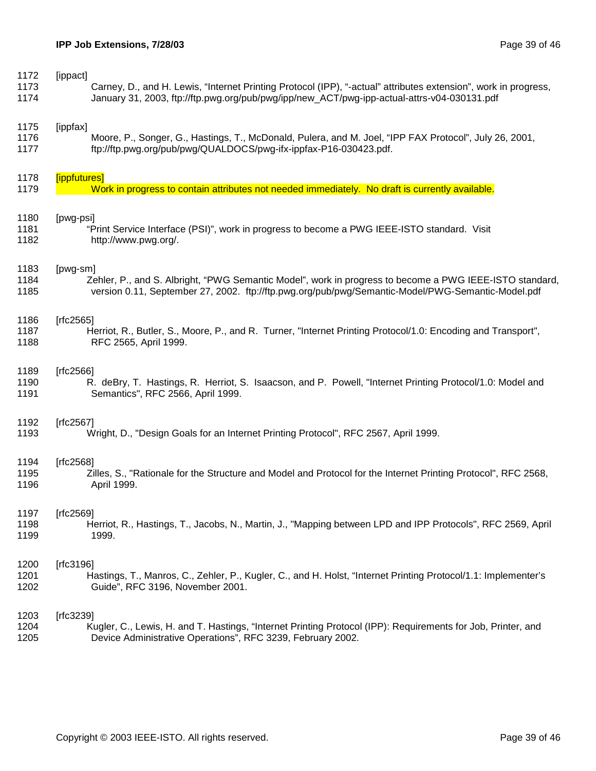| 1172 | [ippact]                                                                                                        |
|------|-----------------------------------------------------------------------------------------------------------------|
| 1173 | Carney, D., and H. Lewis, "Internet Printing Protocol (IPP), "-actual" attributes extension", work in progress, |
| 1174 | January 31, 2003, ftp://ftp.pwg.org/pub/pwg/ipp/new_ACT/pwg-ipp-actual-attrs-v04-030131.pdf                     |
| 1175 | [ippfax]                                                                                                        |
| 1176 | Moore, P., Songer, G., Hastings, T., McDonald, Pulera, and M. Joel, "IPP FAX Protocol", July 26, 2001,          |
| 1177 | ftp://ftp.pwg.org/pub/pwg/QUALDOCS/pwg-ifx-ippfax-P16-030423.pdf.                                               |
| 1178 | [ippfutures]                                                                                                    |
| 1179 | Work in progress to contain attributes not needed immediately. No draft is currently available.                 |
| 1180 | [pwg-psi]                                                                                                       |
| 1181 | "Print Service Interface (PSI)", work in progress to become a PWG IEEE-ISTO standard. Visit                     |
| 1182 | http://www.pwg.org/.                                                                                            |
| 1183 | [pwg-sm]                                                                                                        |
| 1184 | Zehler, P., and S. Albright, "PWG Semantic Model", work in progress to become a PWG IEEE-ISTO standard,         |
| 1185 | version 0.11, September 27, 2002. ftp://ftp.pwg.org/pub/pwg/Semantic-Model/PWG-Semantic-Model.pdf               |
| 1186 | [rfc2565]                                                                                                       |
| 1187 | Herriot, R., Butler, S., Moore, P., and R. Turner, "Internet Printing Protocol/1.0: Encoding and Transport",    |
| 1188 | RFC 2565, April 1999.                                                                                           |
| 1189 | [ $rfc2566$ ]                                                                                                   |
| 1190 | R. deBry, T. Hastings, R. Herriot, S. Isaacson, and P. Powell, "Internet Printing Protocol/1.0: Model and       |
| 1191 | Semantics", RFC 2566, April 1999.                                                                               |
| 1192 | [ $rfc2567$ ]                                                                                                   |
| 1193 | Wright, D., "Design Goals for an Internet Printing Protocol", RFC 2567, April 1999.                             |
| 1194 | [ $rfc2568$ ]                                                                                                   |
| 1195 | Zilles, S., "Rationale for the Structure and Model and Protocol for the Internet Printing Protocol", RFC 2568,  |
| 1196 | April 1999.                                                                                                     |
| 1197 | [rfc2569]                                                                                                       |
| 1198 | Herriot, R., Hastings, T., Jacobs, N., Martin, J., "Mapping between LPD and IPP Protocols", RFC 2569, April     |
| 1199 | 1999.                                                                                                           |
| 1200 | [ $rfc3196$ ]                                                                                                   |
| 1201 | Hastings, T., Manros, C., Zehler, P., Kugler, C., and H. Holst, "Internet Printing Protocol/1.1: Implementer's  |
| 1202 | Guide", RFC 3196, November 2001.                                                                                |
| 1203 | [ $rfc3239$ ]                                                                                                   |
| 1204 | Kugler, C., Lewis, H. and T. Hastings, "Internet Printing Protocol (IPP): Requirements for Job, Printer, and    |
| 1205 | Device Administrative Operations", RFC 3239, February 2002.                                                     |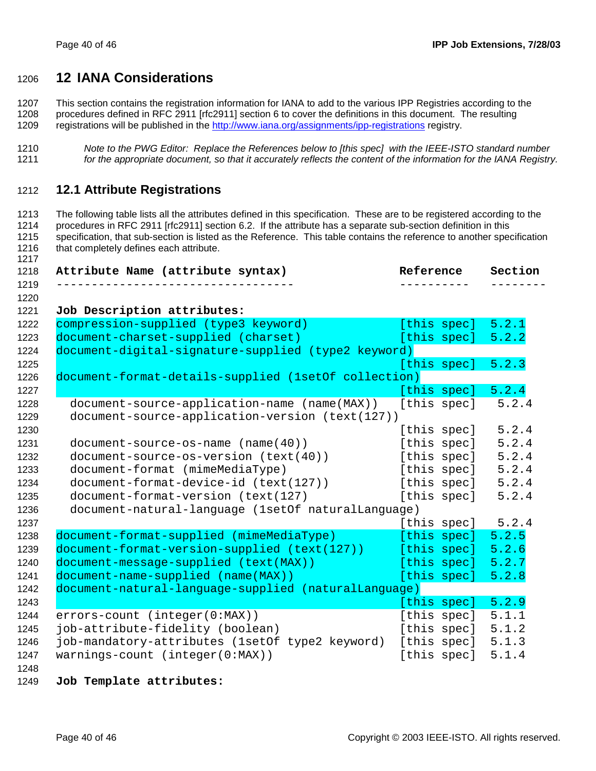### **12 IANA Considerations**

1207 This section contains the registration information for IANA to add to the various IPP Registries according to the 1208 procedures defined in RFC 2911 [rfc2911] section 6 to cover the definitions in this document. The resulting 1209 registrations will be published in the http://www.iana.org/assignments/ipp-registrations registry.

*Note to the PWG Editor: Replace the References below to [this spec] with the IEEE-ISTO standard number for the appropriate document, so that it accurately reflects the content of the information for the IANA Registry.* 

#### **12.1 Attribute Registrations**

1213 The following table lists all the attributes defined in this specification. These are to be registered according to the 1214 procedures in RFC 2911 [rfc2911] section 6.2. If the attribute has a separate sub-section definition in this 1215 specification, that sub-section is listed as the Reference. This table contains the reference to another specification 1216 that completely defines each attribute.

| Attribute Name (attribute syntax)                    | Reference   | Section |
|------------------------------------------------------|-------------|---------|
|                                                      |             |         |
| Job Description attributes:                          |             |         |
| compression-supplied (type3 keyword)                 | [this spec] | 5.2.1   |
| document-charset-supplied (charset)                  | [this spec] | 5.2.2   |
| document-digital-signature-supplied (type2 keyword)  |             |         |
|                                                      | [this spec] | 5.2.3   |
| document-format-details-supplied (1setOf collection) |             |         |
|                                                      | [this spec] | 5.2.4   |
| document-source-application-name (name(MAX))         | [this spec] | 5.2.4   |
| document-source-application-version (text(127))      |             |         |
|                                                      | [this spec] | 5.2.4   |
| $document-source-os-name (name(40))$                 | [this spec] | 5.2.4   |
| document-source-os-version (text(40))                | [this spec] | 5.2.4   |
| document-format (mimeMediaType)                      | [this spec] | 5.2.4   |
| document-format-device-id (text(127))                | [this spec] | 5.2.4   |
| document-format-version (text(127)                   | [this spec] | 5.2.4   |
| document-natural-language (1setOf naturalLanguage)   |             |         |
|                                                      | [this spec] | 5.2.4   |
| document-format-supplied (mimeMediaType)             | [this spec] | 5.2.5   |
| document-format-version-supplied (text(127))         | [this spec] | 5.2.6   |
| document-message-supplied (text(MAX))                | [this spec] | 5.2.7   |
| document-name-supplied (name(MAX))                   | [this spec] | 5.2.8   |
| document-natural-language-supplied (naturalLanguage) |             |         |
|                                                      | [this spec] | 5.2.9   |
| errors-count (integer(0:MAX))                        | [this spec] | 5.1.1   |
| job-attribute-fidelity (boolean)                     | [this spec] | 5.1.2   |
| job-mandatory-attributes (1setOf type2 keyword)      | [this spec] | 5.1.3   |
| $warnings-count (integer(0:MAX))$                    | [this spec] | 5.1.4   |

#### **Job Template attributes:**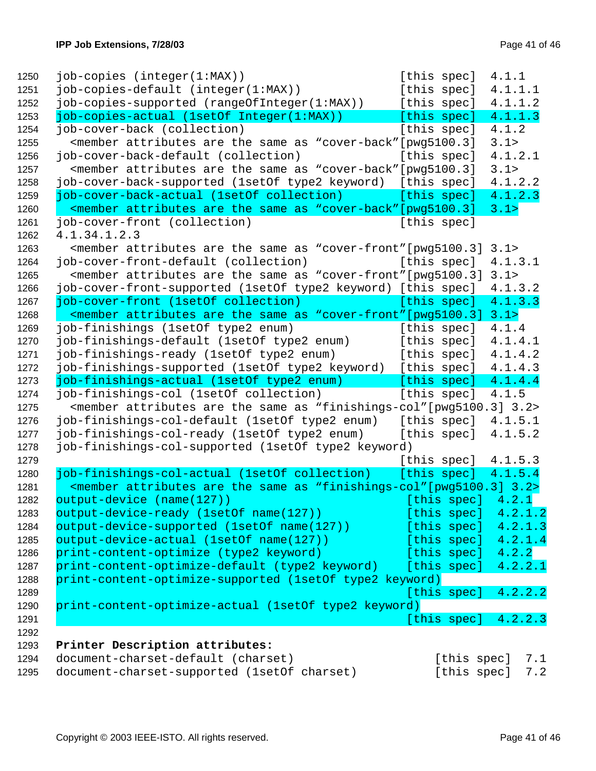| job-copies (integer(1:MAX))                                                                                                 | 4.1.1<br>[this spec]   |     |
|-----------------------------------------------------------------------------------------------------------------------------|------------------------|-----|
| job-copies-default (integer(1:MAX))                                                                                         | [this spec]<br>4.1.1.1 |     |
| job-copies-supported (rangeOfInteger(1:MAX))                                                                                | [this spec]<br>4.1.1.2 |     |
| job-copies-actual (1setOf Integer(1:MAX))                                                                                   | [this spec]<br>4.1.1.3 |     |
| job-cover-back (collection)                                                                                                 | [this spec]<br>4.1.2   |     |
| <member "cover-back"="" [pwg5100.3]<="" are="" as="" attributes="" same="" td="" the=""><td>3.1&gt;</td><td></td></member>  | 3.1>                   |     |
| job-cover-back-default (collection)                                                                                         | [this spec]<br>4.1.2.1 |     |
| <member "cover-back"="" [pwg5100.3]<="" are="" as="" attributes="" same="" td="" the=""><td>3.1&gt;</td><td></td></member>  | 3.1>                   |     |
| job-cover-back-supported (1setOf type2 keyword) [this spec]                                                                 | 4.1.2.2                |     |
| job-cover-back-actual (1setOf collection)                                                                                   | [this spec]<br>4.1.2.3 |     |
| <member "cover-back"[pwq5100.3]<="" are="" as="" attributes="" same="" td="" the=""><td>3.1</td><td></td></member>          | 3.1                    |     |
| job-cover-front (collection)                                                                                                | [this spec]            |     |
| 4.1.34.1.2.3                                                                                                                |                        |     |
| <member "cover-front"="" 3.1="" [pwg5100.3]="" are="" as="" attributes="" same="" the=""></member>                          |                        |     |
|                                                                                                                             | [this spec]<br>4.1.3.1 |     |
| job-cover-front-default (collection)                                                                                        |                        |     |
| <member "cover-front"="" [pwg5100.3]<="" are="" as="" attributes="" same="" td="" the=""><td>3.1&gt;</td><td></td></member> | 3.1>                   |     |
| job-cover-front-supported (1setOf type2 keyword) [this spec]                                                                | 4.1.3.2                |     |
| job-cover-front (1setOf collection)                                                                                         | [this spec]<br>4.1.3.3 |     |
| <member "cover-front"="" [pwg5100.3]<="" are="" as="" attributes="" same="" td="" the=""><td>3.1</td><td></td></member>     | 3.1                    |     |
| job-finishings (1setOf type2 enum)                                                                                          | [this spec]<br>4.1.4   |     |
| job-finishings-default (1setOf type2 enum)                                                                                  | [this spec]<br>4.1.4.1 |     |
| job-finishings-ready (lsetOf type2 enum)                                                                                    | [this spec]<br>4.1.4.2 |     |
| job-finishings-supported (1setOf type2 keyword) [this spec]                                                                 | 4.1.4.3                |     |
| job-finishings-actual (1setOf type2 enum)                                                                                   | [this spec]<br>4.1.4.4 |     |
| job-finishings-col (1setOf collection)                                                                                      | [this spec]<br>4.1.5   |     |
| <member "finishings-col"[pwg5100.3]="" 3.2="" are="" as="" attributes="" same="" the=""></member>                           |                        |     |
| job-finishings-col-default (1setOf type2 enum) [this spec]                                                                  | 4.1.5.1                |     |
| job-finishings-col-ready (lsetOf type2 enum)                                                                                | 4.1.5.2<br>[this spec] |     |
| job-finishings-col-supported (1setOf type2 keyword)                                                                         |                        |     |
|                                                                                                                             | [this spec] $4.1.5.3$  |     |
| job-finishings-col-actual (1setOf collection)                                                                               | [this spec] $4.1.5.4$  |     |
| <member "finishings-col"="" 3.2="" [pwg5100.3]="" are="" as="" attributes="" same="" the=""></member>                       |                        |     |
| output-device (name(127))                                                                                                   | [this spec] $4.2.1$    |     |
| output-device-ready (1setOf name(127))                                                                                      | 4.2.1.2<br>[this spec] |     |
| output-device-supported (1setOf name(127))                                                                                  | [this spec]<br>4.2.1.3 |     |
| output-device-actual (1setOf name(127))                                                                                     | [this spec]<br>4.2.1.4 |     |
|                                                                                                                             |                        |     |
| print-content-optimize (type2 keyword)                                                                                      | 4.2.2<br>[this spec]   |     |
| print-content-optimize-default (type2 keyword) [this spec]                                                                  | 4.2.2.1                |     |
| print-content-optimize-supported (1setOf type2 keyword)                                                                     |                        |     |
|                                                                                                                             | 4.2.2.2<br>[this spec] |     |
| print-content-optimize-actual (1setOf type2 keyword)                                                                        |                        |     |
|                                                                                                                             | 4.2.2.3<br>[this spec] |     |
|                                                                                                                             |                        |     |
| Printer Description attributes:                                                                                             |                        |     |
| document-charset-default (charset)                                                                                          | [this spec]            | 7.1 |
| document-charset-supported (1setOf charset)                                                                                 | [this spec]            | 7.2 |
|                                                                                                                             |                        |     |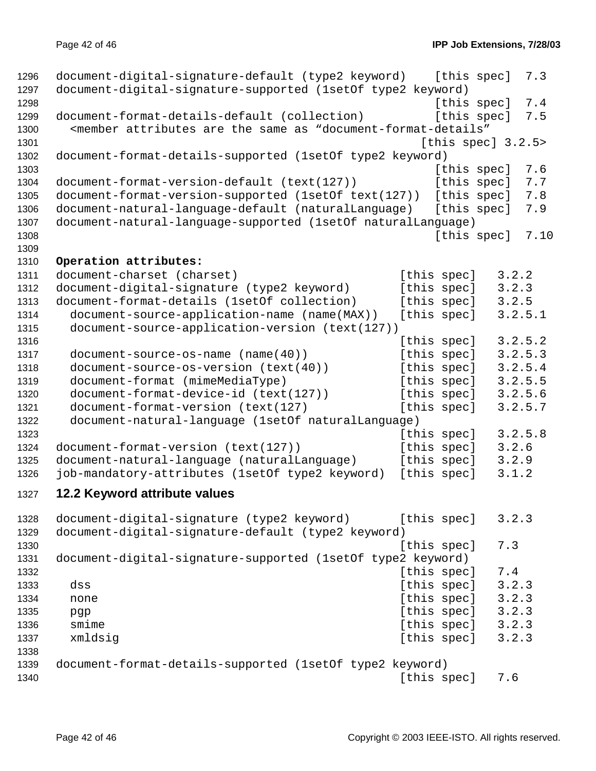```
1296 document-digital-signature-default (type2 keyword) [this spec] 7.3
1297 document-digital-signature-supported (1setOf type2 keyword)
1298 I and the contract of the contract of the contract of the species of the species [ this species 7.41299 document-format-details-default (collection) [this spec] 7.5
1300 <member attributes are the same as "document-format-details"
1301 Interval 2.5 and 2.5 and 2.5 and 2.5 and 2.5 and 2.6 and 2.6 and 2.6 and 2.6 and 2.6 and 2.6 and 2.6 and 2.6 and 2.6 and 2.6 and 2.6 and 2.6 and 2.6 and 2.6 and 2.6 and 2.6 and 2.6 and 2.6 and 2.6 and 2.6 and 2.6 and
1302 document-format-details-supported (1setOf type2 keyword)
1303 [this spec] 7.6
1304 document-format-version-default (text(127)) [this spec] 7.7
1305 document-format-version-supported (1setOf text(127)) [this spec] 7.8
1306 document-natural-language-default (naturalLanguage) [this spec] 7.9
1307 document-natural-language-supported (1setOf naturalLanguage)
1308 [this spec] 7.10
1309 
1310 Operation attributes:
1311 document-charset (charset) [this spec] 3.2.2
1312 document-digital-signature (type2 keyword) [this spec] 3.2.3
1313 document-format-details (1setOf collection) [this spec] 3.2.5
1314 document-source-application-name (name(MAX)) [this spec] 3.2.5.1
1315 document-source-application-version (text(127))
1316 1316 1316 1316
1317 document-source-os-name (name(40)) [this spec] 3.2.5.3
1318 document-source-os-version (text(40)) [this spec] 3.2.5.4
1319 document-format (mimeMediaType) [this spec] 3.2.5.5
1320 document-format-device-id (text(127)) [this spec] 3.2.5.6
1321 document-format-version (text(127) [this spec] 3.2.5.7
1322 document-natural-language (1setOf naturalLanguage)
1323 Intervention Contract Contract Contract Contract Contract Contract Contract Contract Contract Contract Contract Contract Contract Contract Contract Contract Contract Contract Contract Contract Contract Contract Contr
1324 document-format-version (text(127)) [this spec] 3.2.6
1325 document-natural-language (naturalLanguage) [this spec] 3.2.9
1326 job-mandatory-attributes (1setOf type2 keyword) [this spec] 3.1.2
1327 12.2 Keyword attribute values 
1328 document-digital-signature (type2 keyword) [this spec] 3.2.3
1329 document-digital-signature-default (type2 keyword)
1330 [this spec] 7.3
1331 document-digital-signature-supported (1setOf type2 keyword)
1332 Intervention Contract Contract Contract Contract Contract Contract Contract Contract Contract Contract Contract Contract Contract Contract Contract Contract Contract Contract Contract Contract Contract Contract Contr
1333 dss [this spec] 3.2.3
1334 none [this spec] 3.2.3
1335 pgp [this spec] 3.2.3
1336 smime [this spec] 3.2.3
1337 xmldsig 2.2.3
1338 
1339 document-format-details-supported (1setOf type2 keyword)
1340 for the contract of the contract of the contract of the contract of the contract of the contract of the contract of the contract of the contract of the contract of the contract of the contract of the contract of the
```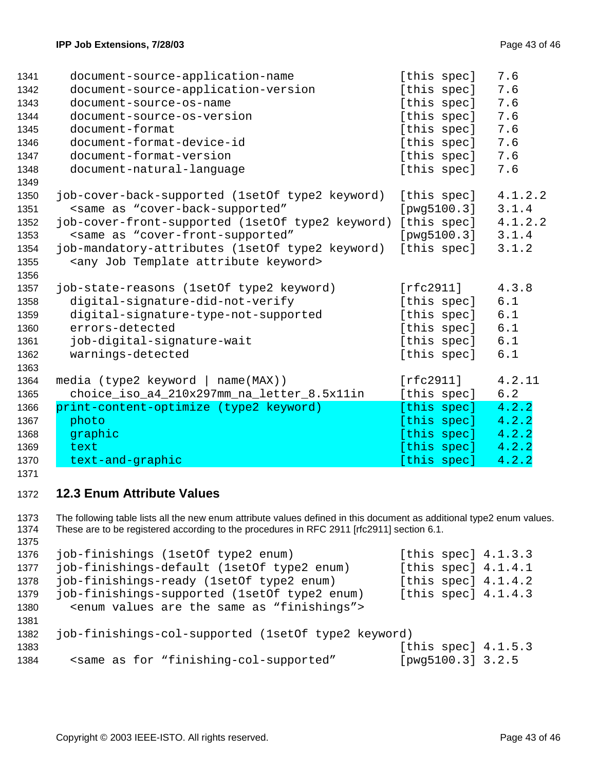| 1341 | document-source-application-name                                                        | [this spec] | 7.6     |
|------|-----------------------------------------------------------------------------------------|-------------|---------|
| 1342 | document-source-application-version                                                     | [this spec] | 7.6     |
| 1343 | document-source-os-name                                                                 | [this spec] | 7.6     |
| 1344 | document-source-os-version                                                              | [this spec] | 7.6     |
| 1345 | document-format                                                                         | [this spec] | 7.6     |
| 1346 | document-format-device-id                                                               | [this spec] | 7.6     |
| 1347 | document-format-version                                                                 | [this spec] | 7.6     |
| 1348 | document-natural-language                                                               | [this spec] | 7.6     |
| 1349 |                                                                                         |             |         |
| 1350 | job-cover-back-supported (1setOf type2 keyword)                                         | [this spec] | 4.1.2.2 |
| 1351 | <same "cover-back-supported"<="" as="" td=""><td>[pwg5100.3]</td><td>3.1.4</td></same>  | [pwg5100.3] | 3.1.4   |
| 1352 | job-cover-front-supported (1setOf type2 keyword)                                        | [this spec] | 4.1.2.2 |
| 1353 | <same "cover-front-supported"<="" as="" td=""><td>[pwg5100.3]</td><td>3.1.4</td></same> | [pwg5100.3] | 3.1.4   |
| 1354 | job-mandatory-attributes (1setOf type2 keyword)                                         | [this spec] | 3.1.2   |
| 1355 | <any attribute="" job="" keyword="" template=""></any>                                  |             |         |
| 1356 |                                                                                         |             |         |
| 1357 | job-state-reasons (1setOf type2 keyword)                                                | [rfc2911]   | 4.3.8   |
| 1358 | digital-signature-did-not-verify                                                        | [this spec] | 6.1     |
| 1359 | digital-signature-type-not-supported                                                    | [this spec] | 6.1     |
| 1360 | errors-detected                                                                         | [this spec] | 6.1     |
| 1361 | job-digital-signature-wait                                                              | [this spec] | 6.1     |
| 1362 | warnings-detected                                                                       | [this spec] | 6.1     |
| 1363 |                                                                                         |             |         |
| 1364 | media (type2 keyword   name(MAX))                                                       | [rfc2911]   | 4.2.11  |
| 1365 | choice_iso_a4_210x297mm_na_letter_8.5x11in                                              | [this spec] | 6.2     |
| 1366 | print-content-optimize (type2 keyword)                                                  | [this spec] | 4.2.2   |
| 1367 | photo                                                                                   | [this spec] | 4.2.2   |
| 1368 | graphic                                                                                 | [this spec] | 4.2.2   |
| 1369 | text                                                                                    | [this spec] | 4.2.2   |
| 1370 | text-and-graphic                                                                        | [this spec] | 4.2.2   |
|      |                                                                                         |             |         |

### **12.3 Enum Attribute Values**

1373 The following table lists all the new enum attribute values defined in this document as additional type2 enum values. 1374 These are to be registered according to the procedures in RFC 2911 [rfc2911] section 6.1. 

```
1376 job-finishings (1setOf type2 enum) [this spec] 4.1.3.3
1377 job-finishings-default (1setOf type2 enum) [this spec] 4.1.4.1
1378 job-finishings-ready (1setOf type2 enum) [this spec] 4.1.4.2
1379 job-finishings-supported (1setOf type2 enum) [this spec] 4.1.4.3
1380 <enum values are the same as "finishings">
1381 
1382 job-finishings-col-supported (1setOf type2 keyword)
1383 [this spec] 4.1.5.3
1384 <same as for "finishing-col-supported" [pwg5100.3] 3.2.5
```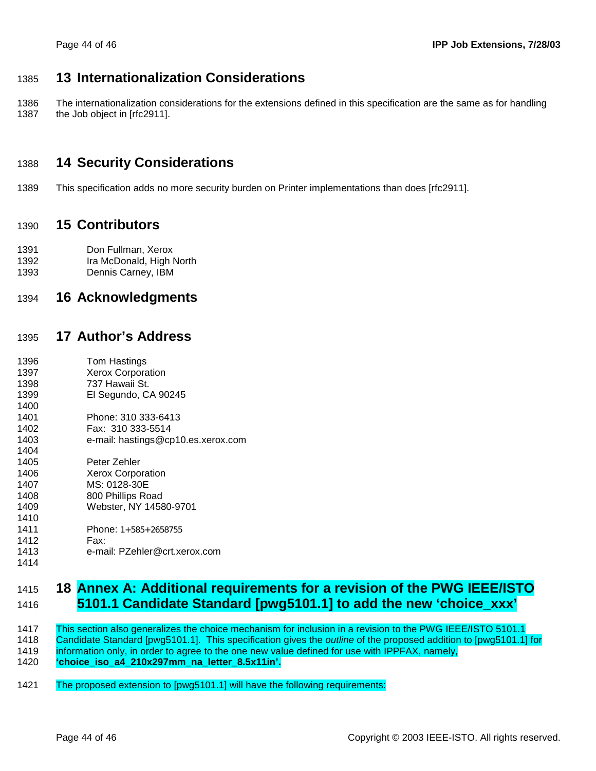### 1385 **13 Internationalization Considerations**

1386 The internationalization considerations for the extensions defined in this specification are the same as for handling 1387 the Job object in [rfc2911].

### 1388 **14 Security Considerations**

1389 This specification adds no more security burden on Printer implementations than does [rfc2911].

### 1390 **15 Contributors**

- 1391 Don Fullman, Xerox 1392 Ira McDonald, High North
- 1393 Dennis Carney, IBM

### 1394 **16 Acknowledgments**

### 1395 **17 Author's Address**

1396 Tom Hastings 1397 Xerox Corporation 1398 737 Hawaii St. 1399 El Segundo, CA 90245 1400 1401 Phone: 310 333-6413 1402 Fax: 310 333-5514 1403 e-mail: hastings@cp10.es.xerox.com 1404 1405 Peter Zehler 1406 Xerox Corporation 1407 MS: 0128-30E 1408 800 Phillips Road 1409 Webster, NY 14580-9701 1410 1411 Phone: 1+585+2658755 1412 Fax: 1413 e-mail: PZehler@crt.xerox.com

### 1415 **18 Annex A: Additional requirements for a revision of the PWG IEEE/ISTO**  1416 **5101.1 Candidate Standard [pwg5101.1] to add the new 'choice\_xxx'**

1417 This section also generalizes the choice mechanism for inclusion in a revision to the PWG IEEE/ISTO 5101.1 1418 Candidate Standard [pwg5101.1]. This specification gives the *outline* of the proposed addition to [pwg5101.1] for 1419 information only, in order to agree to the one new value defined for use with IPPFAX, namely, 1420 **'choice\_iso\_a4\_210x297mm\_na\_letter\_8.5x11in'.**

1421 The proposed extension to [pwg5101.1] will have the following requirements:

1414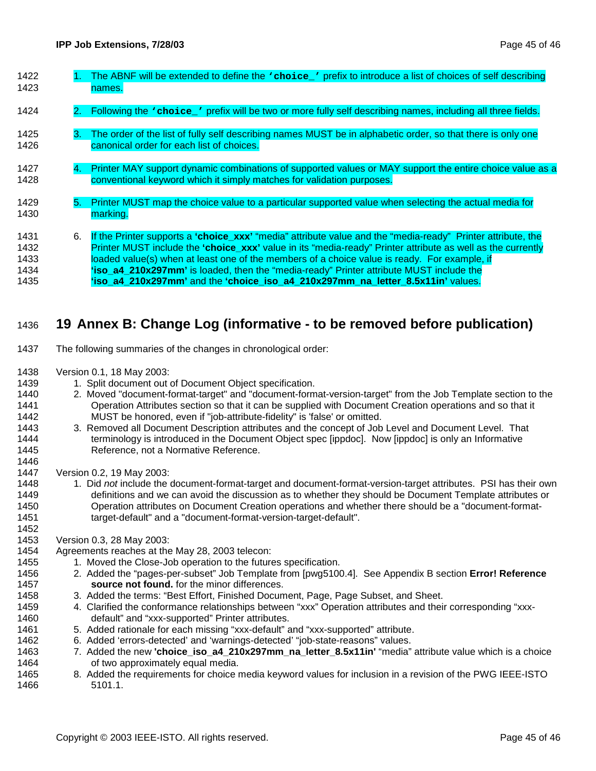| 1422<br>1423                         |    | The ABNF will be extended to define the various choice viesting to introduce a list of choices of self describing<br>names.                                                                                                                                                                                                                                                                                                                                                                              |
|--------------------------------------|----|----------------------------------------------------------------------------------------------------------------------------------------------------------------------------------------------------------------------------------------------------------------------------------------------------------------------------------------------------------------------------------------------------------------------------------------------------------------------------------------------------------|
| 1424                                 |    | 2. Following the variation of prefix will be two or more fully self describing names, including all three fields.                                                                                                                                                                                                                                                                                                                                                                                        |
| 1425<br>1426                         | З. | The order of the list of fully self describing names MUST be in alphabetic order, so that there is only one<br>canonical order for each list of choices.                                                                                                                                                                                                                                                                                                                                                 |
| 1427<br>1428                         | 4. | Printer MAY support dynamic combinations of supported values or MAY support the entire choice value as a<br>conventional keyword which it simply matches for validation purposes.                                                                                                                                                                                                                                                                                                                        |
| 1429<br>1430                         | 5. | Printer MUST map the choice value to a particular supported value when selecting the actual media for<br>marking.                                                                                                                                                                                                                                                                                                                                                                                        |
| 1431<br>1432<br>1433<br>1434<br>1435 | 6. | If the Printer supports a 'choice_xxx' "media" attribute value and the "media-ready" Printer attribute, the<br>Printer MUST include the 'choice_xxx' value in its "media-ready" Printer attribute as well as the currently<br>loaded value(s) when at least one of the members of a choice value is ready. For example, if<br>'iso a4 210x297mm' is loaded, then the "media-ready" Printer attribute MUST include the<br>'iso a4 210x297mm' and the 'choice iso a4 210x297mm na letter 8.5x11in' values. |

### 1436 **19 Annex B: Change Log (informative - to be removed before publication)**

- 1437 The following summaries of the changes in chronological order:
- 1438 Version 0.1, 18 May 2003:
- 1439 1. Split document out of Document Object specification.
- 1440 2. Moved "document-format-target" and "document-format-version-target" from the Job Template section to the 1441 Operation Attributes section so that it can be supplied with Document Creation operations and so that it 1442 MUST be honored, even if "job-attribute-fidelity" is 'false' or omitted.
- 1443 3. Removed all Document Description attributes and the concept of Job Level and Document Level. That 1444 **terminology is introduced in the Document Object spec [ippdoc]. Now [ippdoc] is only an Informative** 1445 Reference, not a Normative Reference.
- 1447 Version 0.2, 19 May 2003:

1446

1452

- 1448 1. Did *not* include the document-format-target and document-format-version-target attributes. PSI has their own 1449 definitions and we can avoid the discussion as to whether they should be Document Template attributes or 1450 Operation attributes on Document Creation operations and whether there should be a "document-format-1451 target-default" and a "document-format-version-target-default".
- 1453 Version 0.3, 28 May 2003:
- 1454 Agreements reaches at the May 28, 2003 telecon:
- 1455 1. Moved the Close-Job operation to the futures specification.
- 1456 2. Added the "pages-per-subset" Job Template from [pwg5100.4]. See Appendix B section **Error! Reference**  1457 **source not found.** for the minor differences.
- 1458 3. Added the terms: "Best Effort, Finished Document, Page, Page Subset, and Sheet.
- 1459 4. Clarified the conformance relationships between "xxx" Operation attributes and their corresponding "xxx-1460 default" and "xxx-supported" Printer attributes.
- 1461 5. Added rationale for each missing "xxx-default" and "xxx-supported" attribute.
- 1462 6. Added 'errors-detected' and 'warnings-detected' "job-state-reasons" values.
- 1463 7. Added the new **'choice\_iso\_a4\_210x297mm\_na\_letter\_8.5x11in'** "media" attribute value which is a choice 1464 of two approximately equal media.
- 1465 8. Added the requirements for choice media keyword values for inclusion in a revision of the PWG IEEE-ISTO 1466 5101.1.